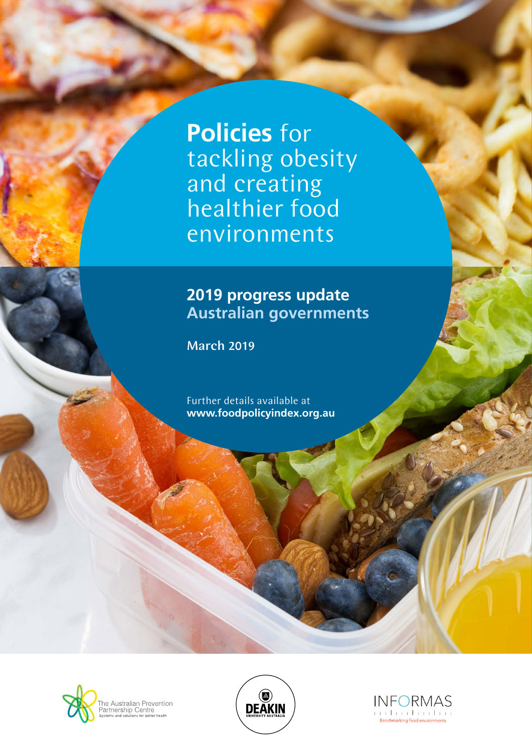**Policies** for tackling obesity and creating healthier food environments

#### **2019 progress update Australian governments**

March 2019

Further details available at **www.foodpolicyindex.org.au**





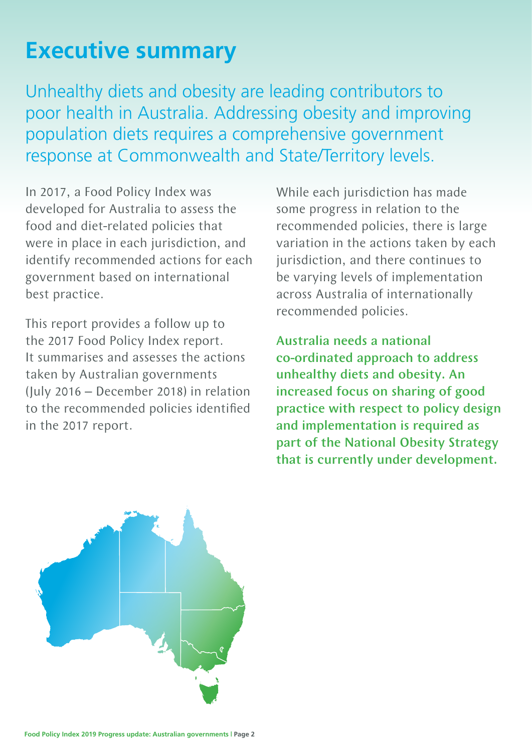# **Executive summary**

Unhealthy diets and obesity are leading contributors to poor health in Australia. Addressing obesity and improving population diets requires a comprehensive government response at Commonwealth and State/Territory levels.

In 2017, a Food Policy Index was developed for Australia to assess the food and diet-related policies that were in place in each jurisdiction, and identify recommended actions for each government based on international best practice.

This report provides a follow up to the 2017 Food Policy Index report. It summarises and assesses the actions taken by Australian governments (July 2016 – December 2018) in relation to the recommended policies identified in the 2017 report.

While each jurisdiction has made some progress in relation to the recommended policies, there is large variation in the actions taken by each jurisdiction, and there continues to be varying levels of implementation across Australia of internationally recommended policies.

Australia needs a national co-ordinated approach to address unhealthy diets and obesity. An increased focus on sharing of good practice with respect to policy design and implementation is required as part of the National Obesity Strategy that is currently under development.

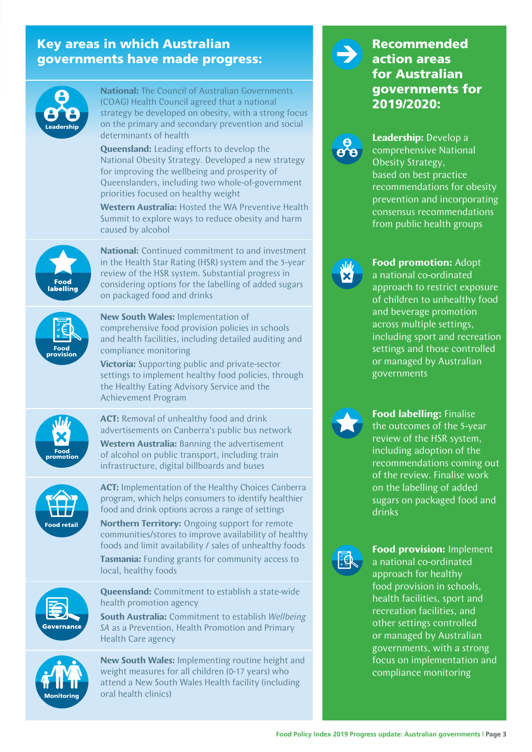#### Key areas in which Australian governments have made progress:



**National:** The Council of Australian Governments (COAG) Health Council agreed that a national strategy be developed on obesity, with a strong focus on the primary and secondary prevention and social determinants of health

**Queensland:** Leading efforts to develop the National Obesity Strategy. Developed a new strategy for improving the wellbeing and prosperity of Queenslanders, including two whole-of-government priorities focused on healthy weight

**Western Australia:** Hosted the WA Preventive Health Summit to explore ways to reduce obesity and harm caused by alcohol



**National:** Continued commitment to and investment in the Health Star Rating (HSR) system and the 5-year review of the HSR system. Substantial progress in considering options for the labelling of added sugars on packaged food and drinks



**New South Wales:** Implementation of comprehensive food provision policies in schools and health facilities, including detailed auditing and compliance monitoring

**Victoria:** Supporting public and private-sector settings to implement healthy food policies, through the Healthy Eating Advisory Service and the Achievement Program



**ACT:** Removal of unhealthy food and drink advertisements on Canberra's public bus network **Western Australia:** Banning the advertisement of alcohol on public transport, including train infrastructure, digital billboards and buses



**ACT:** Implementation of the Healthy Choices Canberra program, which helps consumers to identify healthier food and drink options across a range of settings

**Northern Territory:** Ongoing support for remote communities/stores to improve availability of healthy foods and limit availability / sales of unhealthy foods **Tasmania:** Funding grants for community access to local, healthy foods



**Queensland:** Commitment to establish a state-wide health promotion agency

**South Australia:** Commitment to establish *Wellbeing SA* as a Prevention, Health Promotion and Primary Health Care agency



**New South Wales:** Implementing routine height and weight measures for all children (0-17 years) who attend a New South Wales Health facility (including oral health clinics)

#### Recommended action areas for Australian governments for 2019/2020:



**Leadership:** Develop a comprehensive National Obesity Strategy, based on best practice recommendations for obesity prevention and incorporating consensus recommendations from public health groups



**Food promotion:** Adopt a national co-ordinated approach to restrict exposure of children to unhealthy food and beverage promotion across multiple settings, including sport and recreation settings and those controlled or managed by Australian governments



**Food labelling:** Finalise the outcomes of the 5-year review of the HSR system, including adoption of the recommendations coming out of the review. Finalise work on the labelling of added sugars on packaged food and drinks



**Food provision:** Implement a national co-ordinated approach for healthy food provision in schools, health facilities, sport and recreation facilities, and other settings controlled or managed by Australian governments, with a strong focus on implementation and compliance monitoring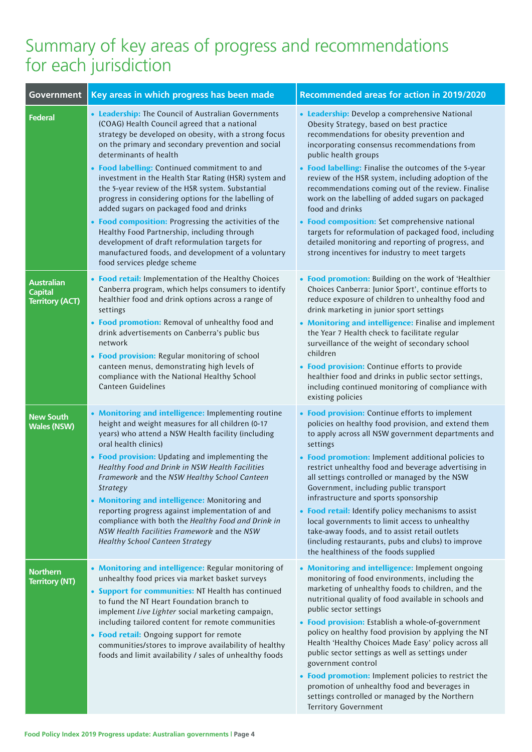## Summary of key areas of progress and recommendations for each jurisdiction

| <b>Government</b>                                             | Key areas in which progress has been made                                                                                                                                                                                                                                                                                                                                                                                                                                                                                                                                                                                                                                                                                                                     | <b>Recommended areas for action in 2019/2020</b>                                                                                                                                                                                                                                                                                                                                                                                                                                                                                                                                                                                                                                   |  |
|---------------------------------------------------------------|---------------------------------------------------------------------------------------------------------------------------------------------------------------------------------------------------------------------------------------------------------------------------------------------------------------------------------------------------------------------------------------------------------------------------------------------------------------------------------------------------------------------------------------------------------------------------------------------------------------------------------------------------------------------------------------------------------------------------------------------------------------|------------------------------------------------------------------------------------------------------------------------------------------------------------------------------------------------------------------------------------------------------------------------------------------------------------------------------------------------------------------------------------------------------------------------------------------------------------------------------------------------------------------------------------------------------------------------------------------------------------------------------------------------------------------------------------|--|
| Federal                                                       | • Leadership: The Council of Australian Governments<br>(COAG) Health Council agreed that a national<br>strategy be developed on obesity, with a strong focus<br>on the primary and secondary prevention and social<br>determinants of health<br>• Food labelling: Continued commitment to and<br>investment in the Health Star Rating (HSR) system and<br>the 5-year review of the HSR system. Substantial<br>progress in considering options for the labelling of<br>added sugars on packaged food and drinks<br>• Food composition: Progressing the activities of the<br>Healthy Food Partnership, including through<br>development of draft reformulation targets for<br>manufactured foods, and development of a voluntary<br>food services pledge scheme | • Leadership: Develop a comprehensive National<br>Obesity Strategy, based on best practice<br>recommendations for obesity prevention and<br>incorporating consensus recommendations from<br>public health groups<br>• Food labelling: Finalise the outcomes of the 5-year<br>review of the HSR system, including adoption of the<br>recommendations coming out of the review. Finalise<br>work on the labelling of added sugars on packaged<br>food and drinks<br>• Food composition: Set comprehensive national<br>targets for reformulation of packaged food, including<br>detailed monitoring and reporting of progress, and<br>strong incentives for industry to meet targets  |  |
| <b>Australian</b><br><b>Capital</b><br><b>Territory (ACT)</b> | • Food retail: Implementation of the Healthy Choices<br>Canberra program, which helps consumers to identify<br>healthier food and drink options across a range of<br>settings<br>• Food promotion: Removal of unhealthy food and<br>drink advertisements on Canberra's public bus<br>network<br>• Food provision: Regular monitoring of school<br>canteen menus, demonstrating high levels of<br>compliance with the National Healthy School<br>Canteen Guidelines                                                                                                                                                                                                                                                                                            | • Food promotion: Building on the work of 'Healthier<br>Choices Canberra: Junior Sport', continue efforts to<br>reduce exposure of children to unhealthy food and<br>drink marketing in junior sport settings<br>• Monitoring and intelligence: Finalise and implement<br>the Year 7 Health check to facilitate regular<br>surveillance of the weight of secondary school<br>children<br>• Food provision: Continue efforts to provide<br>healthier food and drinks in public sector settings,<br>including continued monitoring of compliance with<br>existing policies                                                                                                           |  |
| <b>New South</b><br><b>Wales (NSW)</b>                        | • Monitoring and intelligence: Implementing routine<br>height and weight measures for all children (0-17<br>years) who attend a NSW Health facility (including<br>oral health clinics)<br>• Food provision: Updating and implementing the<br>Healthy Food and Drink in NSW Health Facilities<br>Framework and the NSW Healthy School Canteen<br><b>Strategy</b><br>• Monitoring and intelligence: Monitoring and<br>reporting progress against implementation of and<br>compliance with both the Healthy Food and Drink in<br>NSW Health Facilities Framework and the NSW<br><b>Healthy School Canteen Strategy</b>                                                                                                                                           | • Food provision: Continue efforts to implement<br>policies on healthy food provision, and extend them<br>to apply across all NSW government departments and<br>settings<br>• Food promotion: Implement additional policies to<br>restrict unhealthy food and beverage advertising in<br>all settings controlled or managed by the NSW<br>Government, including public transport<br>infrastructure and sports sponsorship<br>• Food retail: Identify policy mechanisms to assist<br>local governments to limit access to unhealthy<br>take-away foods, and to assist retail outlets<br>(including restaurants, pubs and clubs) to improve<br>the healthiness of the foods supplied |  |
| <b>Northern</b><br><b>Territory (NT)</b>                      | • Monitoring and intelligence: Regular monitoring of<br>unhealthy food prices via market basket surveys<br>• Support for communities: NT Health has continued<br>to fund the NT Heart Foundation branch to<br>implement Live Lighter social marketing campaign,<br>including tailored content for remote communities<br>• Food retail: Ongoing support for remote<br>communities/stores to improve availability of healthy<br>foods and limit availability / sales of unhealthy foods                                                                                                                                                                                                                                                                         | • Monitoring and intelligence: Implement ongoing<br>monitoring of food environments, including the<br>marketing of unhealthy foods to children, and the<br>nutritional quality of food available in schools and<br>public sector settings<br>• Food provision: Establish a whole-of-government<br>policy on healthy food provision by applying the NT<br>Health 'Healthy Choices Made Easy' policy across all<br>public sector settings as well as settings under<br>government control<br>• Food promotion: Implement policies to restrict the<br>promotion of unhealthy food and beverages in<br>settings controlled or managed by the Northern<br>Territory Government          |  |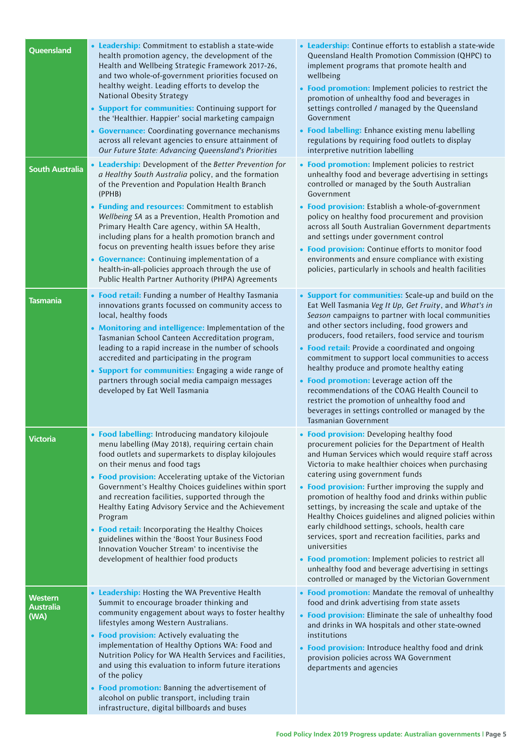| Queensland                                 | • Leadership: Commitment to establish a state-wide<br>health promotion agency, the development of the<br>Health and Wellbeing Strategic Framework 2017-26,<br>and two whole-of-government priorities focused on<br>healthy weight. Leading efforts to develop the<br>National Obesity Strategy<br>• Support for communities: Continuing support for<br>the 'Healthier. Happier' social marketing campaign<br>• Governance: Coordinating governance mechanisms<br>across all relevant agencies to ensure attainment of<br>Our Future State: Advancing Queensland's Priorities                                                             | • Leadership: Continue efforts to establish a state-wide<br>Queensland Health Promotion Commission (QHPC) to<br>implement programs that promote health and<br>wellbeing<br>• Food promotion: Implement policies to restrict the<br>promotion of unhealthy food and beverages in<br>settings controlled / managed by the Queensland<br>Government<br>• Food labelling: Enhance existing menu labelling<br>regulations by requiring food outlets to display<br>interpretive nutrition labelling                                                                                                                                                                                                                                                                             |
|--------------------------------------------|------------------------------------------------------------------------------------------------------------------------------------------------------------------------------------------------------------------------------------------------------------------------------------------------------------------------------------------------------------------------------------------------------------------------------------------------------------------------------------------------------------------------------------------------------------------------------------------------------------------------------------------|---------------------------------------------------------------------------------------------------------------------------------------------------------------------------------------------------------------------------------------------------------------------------------------------------------------------------------------------------------------------------------------------------------------------------------------------------------------------------------------------------------------------------------------------------------------------------------------------------------------------------------------------------------------------------------------------------------------------------------------------------------------------------|
| <b>South Australia</b>                     | • Leadership: Development of the Better Prevention for<br>a Healthy South Australia policy, and the formation<br>of the Prevention and Population Health Branch<br>(PPHB)<br>• Funding and resources: Commitment to establish<br>Wellbeing SA as a Prevention, Health Promotion and<br>Primary Health Care agency, within SA Health,<br>including plans for a health promotion branch and<br>focus on preventing health issues before they arise<br>• Governance: Continuing implementation of a<br>health-in-all-policies approach through the use of<br>Public Health Partner Authority (PHPA) Agreements                              | • Food promotion: Implement policies to restrict<br>unhealthy food and beverage advertising in settings<br>controlled or managed by the South Australian<br>Government<br>• Food provision: Establish a whole-of-government<br>policy on healthy food procurement and provision<br>across all South Australian Government departments<br>and settings under government control<br>• Food provision: Continue efforts to monitor food<br>environments and ensure compliance with existing<br>policies, particularly in schools and health facilities                                                                                                                                                                                                                       |
| Tasmania                                   | • Food retail: Funding a number of Healthy Tasmania<br>innovations grants focussed on community access to<br>local, healthy foods<br>• Monitoring and intelligence: Implementation of the<br>Tasmanian School Canteen Accreditation program,<br>leading to a rapid increase in the number of schools<br>accredited and participating in the program<br>• Support for communities: Engaging a wide range of<br>partners through social media campaign messages<br>developed by Eat Well Tasmania                                                                                                                                          | • Support for communities: Scale-up and build on the<br>Eat Well Tasmania Veg It Up, Get Fruity, and What's in<br>Season campaigns to partner with local communities<br>and other sectors including, food growers and<br>producers, food retailers, food service and tourism<br>• Food retail: Provide a coordinated and ongoing<br>commitment to support local communities to access<br>healthy produce and promote healthy eating<br>• Food promotion: Leverage action off the<br>recommendations of the COAG Health Council to<br>restrict the promotion of unhealthy food and<br>beverages in settings controlled or managed by the<br>Tasmanian Government                                                                                                           |
| <b>Victoria</b>                            | • Food labelling: Introducing mandatory kilojoule<br>menu labelling (May 2018), requiring certain chain<br>food outlets and supermarkets to display kilojoules<br>on their menus and food tags<br>• Food provision: Accelerating uptake of the Victorian<br>Government's Healthy Choices guidelines within sport<br>and recreation facilities, supported through the<br>Healthy Eating Advisory Service and the Achievement<br>Program<br>• Food retail: Incorporating the Healthy Choices<br>guidelines within the 'Boost Your Business Food<br>Innovation Voucher Stream' to incentivise the<br>development of healthier food products | • Food provision: Developing healthy food<br>procurement policies for the Department of Health<br>and Human Services which would require staff across<br>Victoria to make healthier choices when purchasing<br>catering using government funds<br>• Food provision: Further improving the supply and<br>promotion of healthy food and drinks within public<br>settings, by increasing the scale and uptake of the<br>Healthy Choices guidelines and aligned policies within<br>early childhood settings, schools, health care<br>services, sport and recreation facilities, parks and<br>universities<br>• Food promotion: Implement policies to restrict all<br>unhealthy food and beverage advertising in settings<br>controlled or managed by the Victorian Government |
| <b>Western</b><br><b>Australia</b><br>(WA) | • Leadership: Hosting the WA Preventive Health<br>Summit to encourage broader thinking and<br>community engagement about ways to foster healthy<br>lifestyles among Western Australians.<br>• Food provision: Actively evaluating the<br>implementation of Healthy Options WA: Food and<br>Nutrition Policy for WA Health Services and Facilities,<br>and using this evaluation to inform future iterations<br>of the policy<br>• Food promotion: Banning the advertisement of<br>alcohol on public transport, including train<br>infrastructure, digital billboards and buses                                                           | • Food promotion: Mandate the removal of unhealthy<br>food and drink advertising from state assets<br>• Food provision: Eliminate the sale of unhealthy food<br>and drinks in WA hospitals and other state-owned<br>institutions<br>• Food provision: Introduce healthy food and drink<br>provision policies across WA Government<br>departments and agencies                                                                                                                                                                                                                                                                                                                                                                                                             |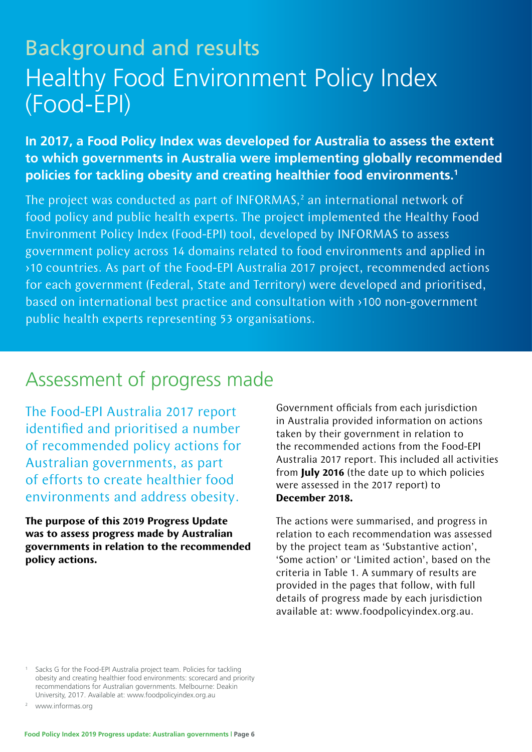# Background and results Healthy Food Environment Policy Index (Food-EPI)

**In 2017, a Food Policy Index was developed for Australia to assess the extent to which governments in Australia were implementing globally recommended policies for tackling obesity and creating healthier food environments.1**

The project was conducted as part of INFORMAS, $<sup>2</sup>$  an international network of</sup> food policy and public health experts. The project implemented the Healthy Food Environment Policy Index (Food-EPI) tool, developed by INFORMAS to assess government policy across 14 domains related to food environments and applied in >10 countries. As part of the Food-EPI Australia 2017 project, recommended actions for each government (Federal, State and Territory) were developed and prioritised, based on international best practice and consultation with >100 non-government public health experts representing 53 organisations.

## Assessment of progress made

The Food-EPI Australia 2017 report identified and prioritised a number of recommended policy actions for Australian governments, as part of efforts to create healthier food environments and address obesity.

**The purpose of this 2019 Progress Update was to assess progress made by Australian governments in relation to the recommended policy actions.** 

Government officials from each jurisdiction in Australia provided information on actions taken by their government in relation to the recommended actions from the Food-EPI Australia 2017 report. This included all activities from **July 2016** (the date up to which policies were assessed in the 2017 report) to **December 2018.**

The actions were summarised, and progress in relation to each recommendation was assessed by the project team as 'Substantive action', 'Some action' or 'Limited action', based on the criteria in Table 1. A summary of results are provided in the pages that follow, with full details of progress made by each jurisdiction available at: www.foodpolicyindex.org.au.

Sacks G for the Food-EPI Australia project team. Policies for tackling obesity and creating healthier food environments: scorecard and priority recommendations for Australian governments. Melbourne: Deakin University, 2017. Available at: www.foodpolicyindex.org.au

<sup>2</sup> www.informas.org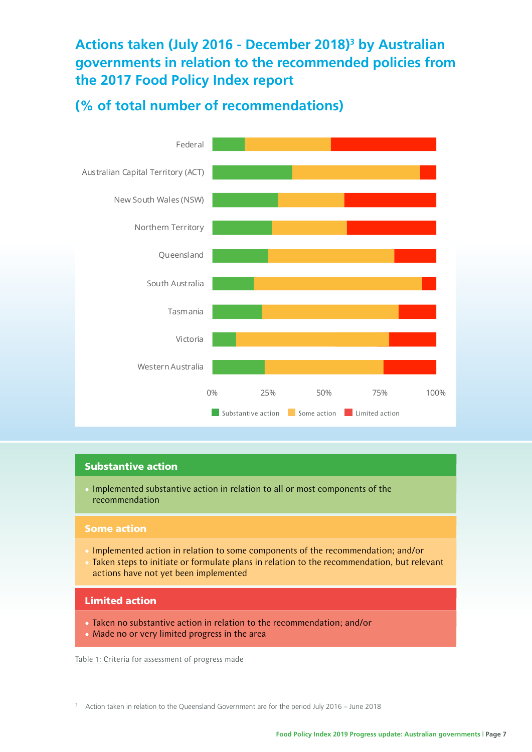#### **Actions taken (July 2016 - December 2018)3 by Australian governments in relation to the recommended policies from the 2017 Food Policy Index report**

#### **(% of total number of recommendations)**



#### Substantive action

• Implemented substantive action in relation to all or most components of the recommendation

#### Some action

- Implemented action in relation to some components of the recommendation; and/or
- Taken steps to initiate or formulate plans in relation to the recommendation, but relevant actions have not yet been implemented

#### Limited action

- Taken no substantive action in relation to the recommendation; and/or
- Made no or very limited progress in the area

Table 1: Criteria for assessment of progress made

<sup>3</sup> Action taken in relation to the Queensland Government are for the period July 2016 – June 2018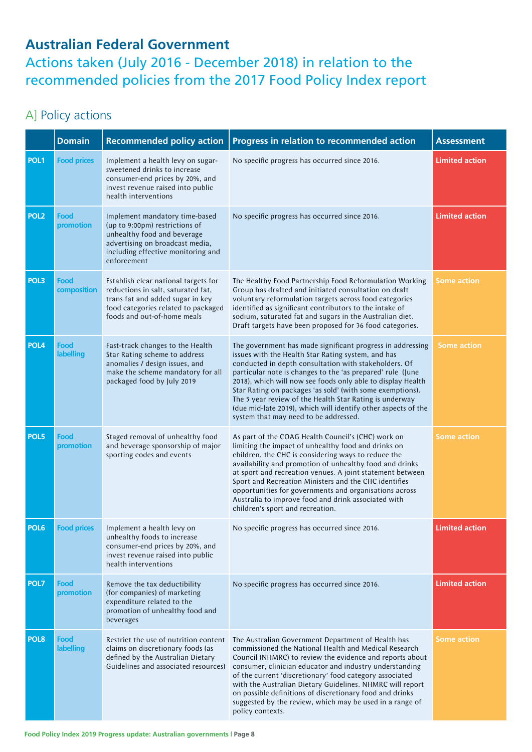#### **Australian Federal Government**

Actions taken (July 2016 - December 2018) in relation to the recommended policies from the 2017 Food Policy Index report

#### A] Policy actions

|                  | <b>Domain</b>            | <b>Recommended policy action</b>                                                                                                                                                        | Progress in relation to recommended action                                                                                                                                                                                                                                                                                                                                                                                                                                                                                               | <b>Assessment</b>     |
|------------------|--------------------------|-----------------------------------------------------------------------------------------------------------------------------------------------------------------------------------------|------------------------------------------------------------------------------------------------------------------------------------------------------------------------------------------------------------------------------------------------------------------------------------------------------------------------------------------------------------------------------------------------------------------------------------------------------------------------------------------------------------------------------------------|-----------------------|
| POL <sub>1</sub> | <b>Food prices</b>       | Implement a health levy on sugar-<br>sweetened drinks to increase<br>consumer-end prices by 20%, and<br>invest revenue raised into public<br>health interventions                       | No specific progress has occurred since 2016.                                                                                                                                                                                                                                                                                                                                                                                                                                                                                            | <b>Limited action</b> |
| POL <sub>2</sub> | Food<br>promotion        | Implement mandatory time-based<br>(up to 9:00pm) restrictions of<br>unhealthy food and beverage<br>advertising on broadcast media,<br>including effective monitoring and<br>enforcement | No specific progress has occurred since 2016.                                                                                                                                                                                                                                                                                                                                                                                                                                                                                            | <b>Limited action</b> |
| POL3             | Food<br>composition      | Establish clear national targets for<br>reductions in salt, saturated fat,<br>trans fat and added sugar in key<br>food categories related to packaged<br>foods and out-of-home meals    | The Healthy Food Partnership Food Reformulation Working<br>Group has drafted and initiated consultation on draft<br>voluntary reformulation targets across food categories<br>identified as significant contributors to the intake of<br>sodium, saturated fat and sugars in the Australian diet.<br>Draft targets have been proposed for 36 food categories.                                                                                                                                                                            | <b>Some action</b>    |
| POL <sub>4</sub> | Food<br><b>labelling</b> | Fast-track changes to the Health<br>Star Rating scheme to address<br>anomalies / design issues, and<br>make the scheme mandatory for all<br>packaged food by July 2019                  | The government has made significant progress in addressing<br>issues with the Health Star Rating system, and has<br>conducted in depth consultation with stakeholders. Of<br>particular note is changes to the 'as prepared' rule (June<br>2018), which will now see foods only able to display Health<br>Star Rating on packages 'as sold' (with some exemptions).<br>The 5 year review of the Health Star Rating is underway<br>(due mid-late 2019), which will identify other aspects of the<br>system that may need to be addressed. | <b>Some action</b>    |
| POL5             | Food<br>promotion        | Staged removal of unhealthy food<br>and beverage sponsorship of major<br>sporting codes and events                                                                                      | As part of the COAG Health Council's (CHC) work on<br>limiting the impact of unhealthy food and drinks on<br>children, the CHC is considering ways to reduce the<br>availability and promotion of unhealthy food and drinks<br>at sport and recreation venues. A joint statement between<br>Sport and Recreation Ministers and the CHC identifies<br>opportunities for governments and organisations across<br>Australia to improve food and drink associated with<br>children's sport and recreation.                                   | <b>Some action</b>    |
| POL6             | <b>Food prices</b>       | Implement a health levy on<br>unhealthy foods to increase<br>consumer-end prices by 20%, and<br>invest revenue raised into public<br>health interventions                               | No specific progress has occurred since 2016.                                                                                                                                                                                                                                                                                                                                                                                                                                                                                            | <b>Limited action</b> |
| POL7             | Food<br>promotion        | Remove the tax deductibility<br>(for companies) of marketing<br>expenditure related to the<br>promotion of unhealthy food and<br>beverages                                              | No specific progress has occurred since 2016.                                                                                                                                                                                                                                                                                                                                                                                                                                                                                            | <b>Limited action</b> |
| POL <sub>8</sub> | Food<br>labelling        | Restrict the use of nutrition content<br>claims on discretionary foods (as<br>defined by the Australian Dietary<br>Guidelines and associated resources)                                 | The Australian Government Department of Health has<br>commissioned the National Health and Medical Research<br>Council (NHMRC) to review the evidence and reports about<br>consumer, clinician educator and industry understanding<br>of the current 'discretionary' food category associated<br>with the Australian Dietary Guidelines. NHMRC will report<br>on possible definitions of discretionary food and drinks<br>suggested by the review, which may be used in a range of<br>policy contexts.                                   | <b>Some action</b>    |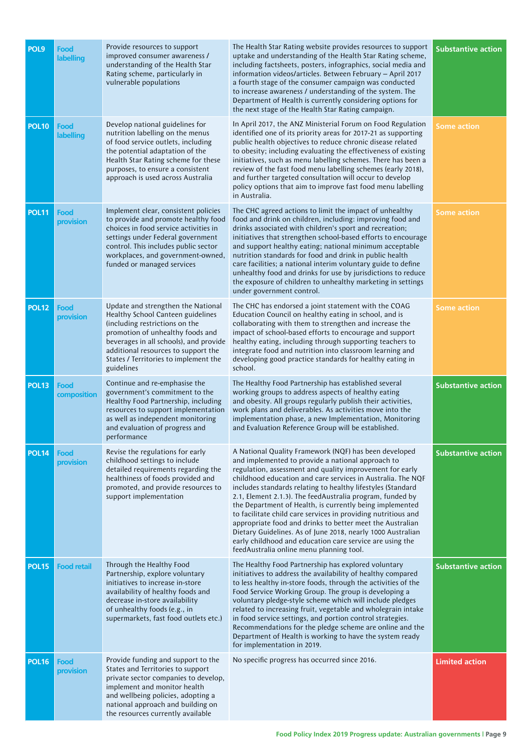| POL9         | Food<br>labelling   | Provide resources to support<br>improved consumer awareness /<br>understanding of the Health Star<br>Rating scheme, particularly in<br>vulnerable populations                                                                                                                         | The Health Star Rating website provides resources to support<br>uptake and understanding of the Health Star Rating scheme,<br>including factsheets, posters, infographics, social media and<br>information videos/articles. Between February - April 2017<br>a fourth stage of the consumer campaign was conducted<br>to increase awareness / understanding of the system. The<br>Department of Health is currently considering options for<br>the next stage of the Health Star Rating campaign.                                                                                                                                                                                                                                  | <b>Substantive action</b> |
|--------------|---------------------|---------------------------------------------------------------------------------------------------------------------------------------------------------------------------------------------------------------------------------------------------------------------------------------|------------------------------------------------------------------------------------------------------------------------------------------------------------------------------------------------------------------------------------------------------------------------------------------------------------------------------------------------------------------------------------------------------------------------------------------------------------------------------------------------------------------------------------------------------------------------------------------------------------------------------------------------------------------------------------------------------------------------------------|---------------------------|
| <b>POL10</b> | Food<br>labelling   | Develop national guidelines for<br>nutrition labelling on the menus<br>of food service outlets, including<br>the potential adaptation of the<br>Health Star Rating scheme for these<br>purposes, to ensure a consistent<br>approach is used across Australia                          | In April 2017, the ANZ Ministerial Forum on Food Regulation<br>identified one of its priority areas for 2017-21 as supporting<br>public health objectives to reduce chronic disease related<br>to obesity; including evaluating the effectiveness of existing<br>initiatives, such as menu labelling schemes. There has been a<br>review of the fast food menu labelling schemes (early 2018),<br>and further targeted consultation will occur to develop<br>policy options that aim to improve fast food menu labelling<br>in Australia.                                                                                                                                                                                          | <b>Some action</b>        |
| <b>POL11</b> | Food<br>provision   | Implement clear, consistent policies<br>to provide and promote healthy food<br>choices in food service activities in<br>settings under Federal government<br>control. This includes public sector<br>workplaces, and government-owned,<br>funded or managed services                  | The CHC agreed actions to limit the impact of unhealthy<br>food and drink on children, including: improving food and<br>drinks associated with children's sport and recreation;<br>initiatives that strengthen school-based efforts to encourage<br>and support healthy eating; national minimum acceptable<br>nutrition standards for food and drink in public health<br>care facilities; a national interim voluntary guide to define<br>unhealthy food and drinks for use by jurisdictions to reduce<br>the exposure of children to unhealthy marketing in settings<br>under government control.                                                                                                                                | <b>Some action</b>        |
| <b>POL12</b> | Food<br>provision   | Update and strengthen the National<br>Healthy School Canteen guidelines<br>(including restrictions on the<br>promotion of unhealthy foods and<br>beverages in all schools), and provide<br>additional resources to support the<br>States / Territories to implement the<br>guidelines | The CHC has endorsed a joint statement with the COAG<br>Education Council on healthy eating in school, and is<br>collaborating with them to strengthen and increase the<br>impact of school-based efforts to encourage and support<br>healthy eating, including through supporting teachers to<br>integrate food and nutrition into classroom learning and<br>developing good practice standards for healthy eating in<br>school.                                                                                                                                                                                                                                                                                                  | <b>Some action</b>        |
| <b>POL13</b> | Food<br>composition | Continue and re-emphasise the<br>government's commitment to the<br>Healthy Food Partnership, including<br>resources to support implementation<br>as well as independent monitoring<br>and evaluation of progress and<br>performance                                                   | The Healthy Food Partnership has established several<br>working groups to address aspects of healthy eating<br>and obesity. All groups regularly publish their activities,<br>work plans and deliverables. As activities move into the<br>implementation phase, a new Implementation, Monitoring<br>and Evaluation Reference Group will be established.                                                                                                                                                                                                                                                                                                                                                                            | <b>Substantive action</b> |
| <b>POL14</b> | Food<br>provision   | Revise the regulations for early<br>childhood settings to include<br>detailed requirements regarding the<br>healthiness of foods provided and<br>promoted, and provide resources to<br>support implementation                                                                         | A National Quality Framework (NQF) has been developed<br>and implemented to provide a national approach to<br>regulation, assessment and quality improvement for early<br>childhood education and care services in Australia. The NQF<br>includes standards relating to healthy lifestyles (Standard<br>2.1, Element 2.1.3). The feedAustralia program, funded by<br>the Department of Health, is currently being implemented<br>to facilitate child care services in providing nutritious and<br>appropriate food and drinks to better meet the Australian<br>Dietary Guidelines. As of June 2018, nearly 1000 Australian<br>early childhood and education care service are using the<br>feedAustralia online menu planning tool. | <b>Substantive action</b> |
| <b>POL15</b> | <b>Food retail</b>  | Through the Healthy Food<br>Partnership, explore voluntary<br>initiatives to increase in-store<br>availability of healthy foods and<br>decrease in-store availability<br>of unhealthy foods (e.g., in<br>supermarkets, fast food outlets etc.)                                        | The Healthy Food Partnership has explored voluntary<br>initiatives to address the availability of healthy compared<br>to less healthy in-store foods, through the activities of the<br>Food Service Working Group. The group is developing a<br>voluntary pledge-style scheme which will include pledges<br>related to increasing fruit, vegetable and wholegrain intake<br>in food service settings, and portion control strategies.<br>Recommendations for the pledge scheme are online and the<br>Department of Health is working to have the system ready<br>for implementation in 2019.                                                                                                                                       | <b>Substantive action</b> |
| <b>POL16</b> | Food<br>provision   | Provide funding and support to the<br>States and Territories to support<br>private sector companies to develop,<br>implement and monitor health<br>and wellbeing policies, adopting a<br>national approach and building on<br>the resources currently available                       | No specific progress has occurred since 2016.                                                                                                                                                                                                                                                                                                                                                                                                                                                                                                                                                                                                                                                                                      | <b>Limited action</b>     |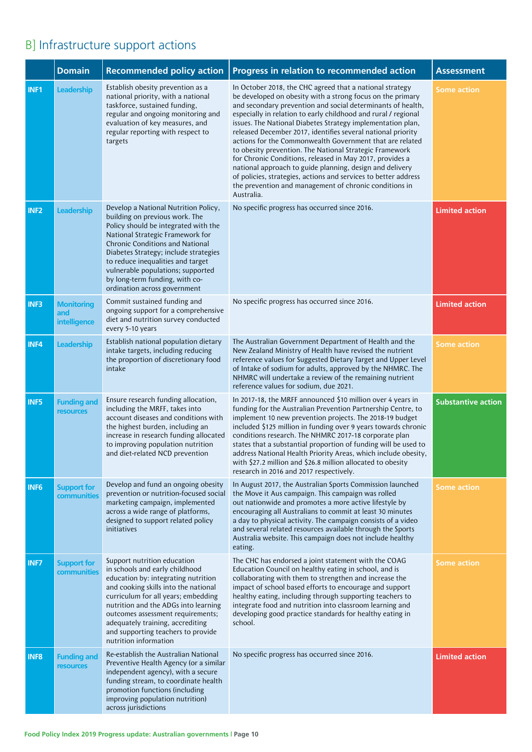## B] Infrastructure support actions

|                  | <b>Domain</b>                            | <b>Recommended policy action</b>                                                                                                                                                                                                                                                                                                                                                  | Progress in relation to recommended action                                                                                                                                                                                                                                                                                                                                                                                                                                                                                                                                                                                                                                                                                                                                       | <b>Assessment</b>         |
|------------------|------------------------------------------|-----------------------------------------------------------------------------------------------------------------------------------------------------------------------------------------------------------------------------------------------------------------------------------------------------------------------------------------------------------------------------------|----------------------------------------------------------------------------------------------------------------------------------------------------------------------------------------------------------------------------------------------------------------------------------------------------------------------------------------------------------------------------------------------------------------------------------------------------------------------------------------------------------------------------------------------------------------------------------------------------------------------------------------------------------------------------------------------------------------------------------------------------------------------------------|---------------------------|
| INF1             | Leadership                               | Establish obesity prevention as a<br>national priority, with a national<br>taskforce, sustained funding,<br>regular and ongoing monitoring and<br>evaluation of key measures, and<br>regular reporting with respect to<br>targets                                                                                                                                                 | In October 2018, the CHC agreed that a national strategy<br>be developed on obesity with a strong focus on the primary<br>and secondary prevention and social determinants of health,<br>especially in relation to early childhood and rural / regional<br>issues. The National Diabetes Strategy implementation plan,<br>released December 2017, identifies several national priority<br>actions for the Commonwealth Government that are related<br>to obesity prevention. The National Strategic Framework<br>for Chronic Conditions, released in May 2017, provides a<br>national approach to guide planning, design and delivery<br>of policies, strategies, actions and services to better address<br>the prevention and management of chronic conditions in<br>Australia. | <b>Some action</b>        |
| INF <sub>2</sub> | Leadership                               | Develop a National Nutrition Policy,<br>building on previous work. The<br>Policy should be integrated with the<br>National Strategic Framework for<br><b>Chronic Conditions and National</b><br>Diabetes Strategy; include strategies<br>to reduce inequalities and target<br>vulnerable populations; supported<br>by long-term funding, with co-<br>ordination across government | No specific progress has occurred since 2016.                                                                                                                                                                                                                                                                                                                                                                                                                                                                                                                                                                                                                                                                                                                                    | <b>Limited action</b>     |
| INF3             | <b>Monitoring</b><br>and<br>intelligence | Commit sustained funding and<br>ongoing support for a comprehensive<br>diet and nutrition survey conducted<br>every 5-10 years                                                                                                                                                                                                                                                    | No specific progress has occurred since 2016.                                                                                                                                                                                                                                                                                                                                                                                                                                                                                                                                                                                                                                                                                                                                    | <b>Limited action</b>     |
| INF4             | Leadership                               | Establish national population dietary<br>intake targets, including reducing<br>the proportion of discretionary food<br>intake                                                                                                                                                                                                                                                     | The Australian Government Department of Health and the<br>New Zealand Ministry of Health have revised the nutrient<br>reference values for Suggested Dietary Target and Upper Level<br>of Intake of sodium for adults, approved by the NHMRC. The<br>NHMRC will undertake a review of the remaining nutrient<br>reference values for sodium, due 2021.                                                                                                                                                                                                                                                                                                                                                                                                                           | <b>Some action</b>        |
| INF5             | <b>Funding and</b><br><b>resources</b>   | Ensure research funding allocation,<br>including the MRFF, takes into<br>account diseases and conditions with<br>the highest burden, including an<br>increase in research funding allocated<br>to improving population nutrition<br>and diet-related NCD prevention                                                                                                               | In 2017-18, the MRFF announced \$10 million over 4 years in<br>funding for the Australian Prevention Partnership Centre, to<br>implement 10 new prevention projects. The 2018-19 budget<br>included \$125 million in funding over 9 years towards chronic<br>conditions research. The NHMRC 2017-18 corporate plan<br>states that a substantial proportion of funding will be used to<br>address National Health Priority Areas, which include obesity,<br>with \$27.2 million and \$26.8 million allocated to obesity<br>research in 2016 and 2017 respectively.                                                                                                                                                                                                                | <b>Substantive action</b> |
| INF <sub>6</sub> | <b>Support for</b><br>communities        | Develop and fund an ongoing obesity<br>prevention or nutrition-focused social<br>marketing campaign, implemented<br>across a wide range of platforms,<br>designed to support related policy<br>initiatives                                                                                                                                                                        | In August 2017, the Australian Sports Commission launched<br>the Move it Aus campaign. This campaign was rolled<br>out nationwide and promotes a more active lifestyle by<br>encouraging all Australians to commit at least 30 minutes<br>a day to physical activity. The campaign consists of a video<br>and several related resources available through the Sports<br>Australia website. This campaign does not include healthy<br>eating.                                                                                                                                                                                                                                                                                                                                     | <b>Some action</b>        |
| <b>INF7</b>      | <b>Support for</b><br>communities        | Support nutrition education<br>in schools and early childhood<br>education by: integrating nutrition<br>and cooking skills into the national<br>curriculum for all years; embedding<br>nutrition and the ADGs into learning<br>outcomes assessment requirements;<br>adequately training, accrediting<br>and supporting teachers to provide<br>nutrition information               | The CHC has endorsed a joint statement with the COAG<br>Education Council on healthy eating in school, and is<br>collaborating with them to strengthen and increase the<br>impact of school based efforts to encourage and support<br>healthy eating, including through supporting teachers to<br>integrate food and nutrition into classroom learning and<br>developing good practice standards for healthy eating in<br>school.                                                                                                                                                                                                                                                                                                                                                | <b>Some action</b>        |
| <b>INF8</b>      | <b>Funding and</b><br><b>resources</b>   | Re-establish the Australian National<br>Preventive Health Agency (or a similar<br>independent agency), with a secure<br>funding stream, to coordinate health<br>promotion functions (including<br>improving population nutrition)<br>across jurisdictions                                                                                                                         | No specific progress has occurred since 2016.                                                                                                                                                                                                                                                                                                                                                                                                                                                                                                                                                                                                                                                                                                                                    | <b>Limited action</b>     |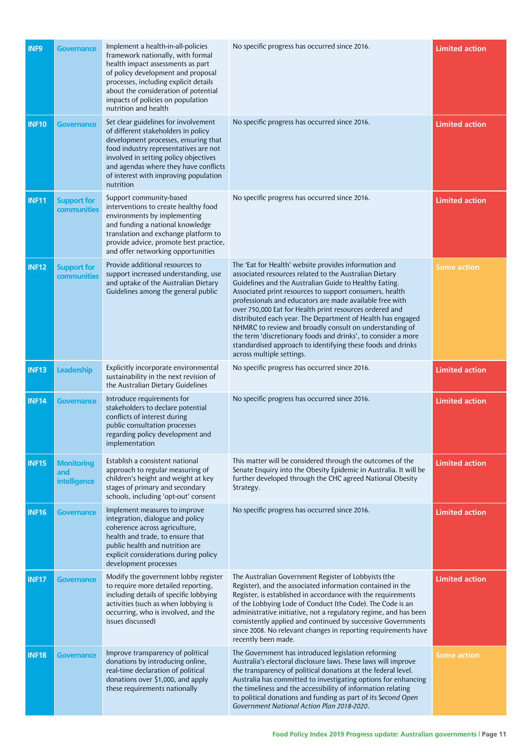| <b>INF9</b>  | <b>Governance</b>                        | Implement a health-in-all-policies<br>framework nationally, with formal<br>health impact assessments as part<br>of policy development and proposal<br>processes, including explicit details<br>about the consideration of potential<br>impacts of policies on population<br>nutrition and health     | No specific progress has occurred since 2016.                                                                                                                                                                                                                                                                                                                                                                                                                                                                                                                                                                                                      | <b>Limited action</b> |
|--------------|------------------------------------------|------------------------------------------------------------------------------------------------------------------------------------------------------------------------------------------------------------------------------------------------------------------------------------------------------|----------------------------------------------------------------------------------------------------------------------------------------------------------------------------------------------------------------------------------------------------------------------------------------------------------------------------------------------------------------------------------------------------------------------------------------------------------------------------------------------------------------------------------------------------------------------------------------------------------------------------------------------------|-----------------------|
| <b>INF10</b> | <b>Governance</b>                        | Set clear guidelines for involvement<br>of different stakeholders in policy<br>development processes, ensuring that<br>food industry representatives are not<br>involved in setting policy objectives<br>and agendas where they have conflicts<br>of interest with improving population<br>nutrition | No specific progress has occurred since 2016.                                                                                                                                                                                                                                                                                                                                                                                                                                                                                                                                                                                                      | <b>Limited action</b> |
| <b>INF11</b> | <b>Support for</b><br>communities        | Support community-based<br>interventions to create healthy food<br>environments by implementing<br>and funding a national knowledge<br>translation and exchange platform to<br>provide advice, promote best practice,<br>and offer networking opportunities                                          | No specific progress has occurred since 2016.                                                                                                                                                                                                                                                                                                                                                                                                                                                                                                                                                                                                      | <b>Limited action</b> |
| <b>INF12</b> | <b>Support for</b><br>communities        | Provide additional resources to<br>support increased understanding, use<br>and uptake of the Australian Dietary<br>Guidelines among the general public                                                                                                                                               | The 'Eat for Health' website provides information and<br>associated resources related to the Australian Dietary<br>Guidelines and the Australian Guide to Healthy Eating.<br>Associated print resources to support consumers, health<br>professionals and educators are made available free with<br>over 750,000 Eat for Health print resources ordered and<br>distributed each year. The Department of Health has engaged<br>NHMRC to review and broadly consult on understanding of<br>the term 'discretionary foods and drinks', to consider a more<br>standardised approach to identifying these foods and drinks<br>across multiple settings. | <b>Some action</b>    |
| <b>INF13</b> | <b>Leadership</b>                        | Explicitly incorporate environmental<br>sustainability in the next revision of<br>the Australian Dietary Guidelines                                                                                                                                                                                  | No specific progress has occurred since 2016.                                                                                                                                                                                                                                                                                                                                                                                                                                                                                                                                                                                                      | <b>Limited action</b> |
| <b>INF14</b> | <b>Governance</b>                        | Introduce requirements for<br>stakeholders to declare potential<br>conflicts of interest during<br>public consultation processes<br>regarding policy development and<br>implementation                                                                                                               | No specific progress has occurred since 2016.                                                                                                                                                                                                                                                                                                                                                                                                                                                                                                                                                                                                      | <b>Limited action</b> |
| <b>INF15</b> | <b>Monitoring</b><br>and<br>intelligence | Establish a consistent national<br>approach to regular measuring of<br>children's height and weight at key<br>stages of primary and secondary<br>schools, including 'opt-out' consent                                                                                                                | This matter will be considered through the outcomes of the<br>Senate Enquiry into the Obesity Epidemic in Australia. It will be<br>further developed through the CHC agreed National Obesity<br>Strategy.                                                                                                                                                                                                                                                                                                                                                                                                                                          | <b>Limited action</b> |
| <b>INF16</b> | <b>Governance</b>                        | Implement measures to improve<br>integration, dialogue and policy<br>coherence across agriculture,<br>health and trade, to ensure that<br>public health and nutrition are<br>explicit considerations during policy<br>development processes                                                          | No specific progress has occurred since 2016.                                                                                                                                                                                                                                                                                                                                                                                                                                                                                                                                                                                                      | <b>Limited action</b> |
| <b>INF17</b> | <b>Governance</b>                        | Modify the government lobby register<br>to require more detailed reporting,<br>including details of specific lobbying<br>activities (such as when lobbying is<br>occurring, who is involved, and the<br>issues discussed)                                                                            | The Australian Government Register of Lobbyists (the<br>Register), and the associated information contained in the<br>Register, is established in accordance with the requirements<br>of the Lobbying Lode of Conduct (the Code). The Code is an<br>administrative initiative, not a regulatory regime, and has been<br>consistently applied and continued by successive Governments<br>since 2008. No relevant changes in reporting requirements have<br>recently been made.                                                                                                                                                                      | <b>Limited action</b> |
| <b>INF18</b> | <b>Governance</b>                        | Improve transparency of political<br>donations by introducing online,<br>real-time declaration of political<br>donations over \$1,000, and apply<br>these requirements nationally                                                                                                                    | The Government has introduced legislation reforming<br>Australia's electoral disclosure laws. These laws will improve<br>the transparency of political donations at the federal level.<br>Australia has committed to investigating options for enhancing<br>the timeliness and the accessibility of information relating<br>to political donations and funding as part of its Second Open<br>Government National Action Plan 2018-2020.                                                                                                                                                                                                            | <b>Some action</b>    |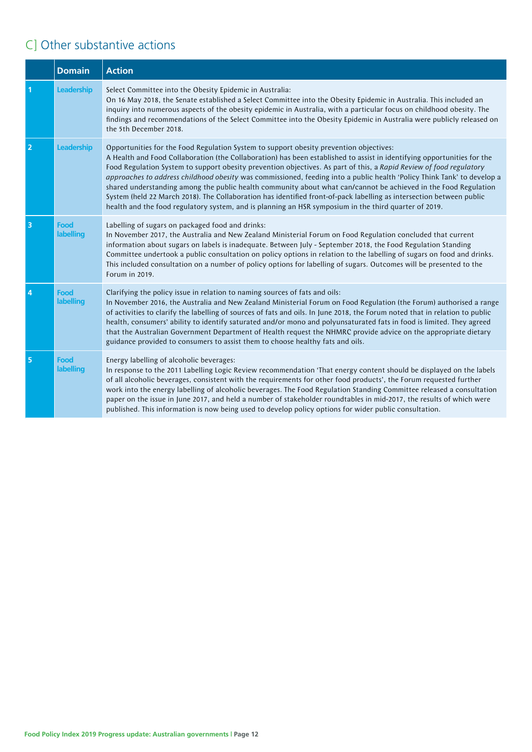### C] Other substantive actions

|                | <b>Domain</b>            | <b>Action</b>                                                                                                                                                                                                                                                                                                                                                                                                                                                                                                                                                                                                                                                                                                                                                                                                           |
|----------------|--------------------------|-------------------------------------------------------------------------------------------------------------------------------------------------------------------------------------------------------------------------------------------------------------------------------------------------------------------------------------------------------------------------------------------------------------------------------------------------------------------------------------------------------------------------------------------------------------------------------------------------------------------------------------------------------------------------------------------------------------------------------------------------------------------------------------------------------------------------|
|                | Leadership               | Select Committee into the Obesity Epidemic in Australia:<br>On 16 May 2018, the Senate established a Select Committee into the Obesity Epidemic in Australia. This included an<br>inquiry into numerous aspects of the obesity epidemic in Australia, with a particular focus on childhood obesity. The<br>findings and recommendations of the Select Committee into the Obesity Epidemic in Australia were publicly released on<br>the 5th December 2018.                                                                                                                                                                                                                                                                                                                                                              |
| 2              | Leadership               | Opportunities for the Food Regulation System to support obesity prevention objectives:<br>A Health and Food Collaboration (the Collaboration) has been established to assist in identifying opportunities for the<br>Food Regulation System to support obesity prevention objectives. As part of this, a Rapid Review of food regulatory<br>approaches to address childhood obesity was commissioned, feeding into a public health 'Policy Think Tank' to develop a<br>shared understanding among the public health community about what can/cannot be achieved in the Food Regulation<br>System (held 22 March 2018). The Collaboration has identified front-of-pack labelling as intersection between public<br>health and the food regulatory system, and is planning an HSR symposium in the third quarter of 2019. |
| 3              | Food<br>labelling        | Labelling of sugars on packaged food and drinks:<br>In November 2017, the Australia and New Zealand Ministerial Forum on Food Regulation concluded that current<br>information about sugars on labels is inadequate. Between July - September 2018, the Food Regulation Standing<br>Committee undertook a public consultation on policy options in relation to the labelling of sugars on food and drinks.<br>This included consultation on a number of policy options for labelling of sugars. Outcomes will be presented to the<br>Forum in 2019.                                                                                                                                                                                                                                                                     |
| $\overline{4}$ | Food<br>labelling        | Clarifying the policy issue in relation to naming sources of fats and oils:<br>In November 2016, the Australia and New Zealand Ministerial Forum on Food Regulation (the Forum) authorised a range<br>of activities to clarify the labelling of sources of fats and oils. In June 2018, the Forum noted that in relation to public<br>health, consumers' ability to identify saturated and/or mono and polyunsaturated fats in food is limited. They agreed<br>that the Australian Government Department of Health request the NHMRC provide advice on the appropriate dietary<br>guidance provided to consumers to assist them to choose healthy fats and oils.                                                                                                                                                        |
| 5              | <b>Food</b><br>labelling | Energy labelling of alcoholic beverages:<br>In response to the 2011 Labelling Logic Review recommendation 'That energy content should be displayed on the labels<br>of all alcoholic beverages, consistent with the requirements for other food products', the Forum requested further<br>work into the energy labelling of alcoholic beverages. The Food Regulation Standing Committee released a consultation<br>paper on the issue in June 2017, and held a number of stakeholder roundtables in mid-2017, the results of which were<br>published. This information is now being used to develop policy options for wider public consultation.                                                                                                                                                                       |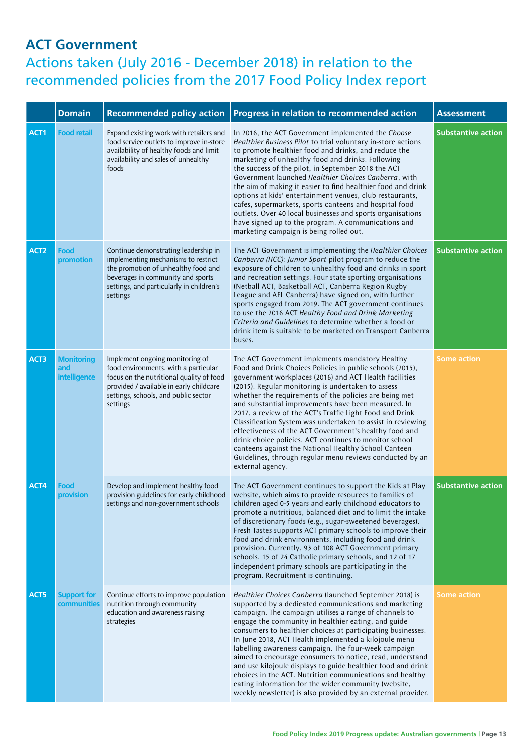#### **ACT Government**

|                  | <b>Domain</b>                            | <b>Recommended policy action</b>                                                                                                                                                                                   | Progress in relation to recommended action                                                                                                                                                                                                                                                                                                                                                                                                                                                                                                                                                                                                                                                                                           | <b>Assessment</b>         |
|------------------|------------------------------------------|--------------------------------------------------------------------------------------------------------------------------------------------------------------------------------------------------------------------|--------------------------------------------------------------------------------------------------------------------------------------------------------------------------------------------------------------------------------------------------------------------------------------------------------------------------------------------------------------------------------------------------------------------------------------------------------------------------------------------------------------------------------------------------------------------------------------------------------------------------------------------------------------------------------------------------------------------------------------|---------------------------|
| ACT1             | <b>Food retail</b>                       | Expand existing work with retailers and<br>food service outlets to improve in-store<br>availability of healthy foods and limit<br>availability and sales of unhealthy<br>foods                                     | In 2016, the ACT Government implemented the Choose<br>Healthier Business Pilot to trial voluntary in-store actions<br>to promote healthier food and drinks, and reduce the<br>marketing of unhealthy food and drinks. Following<br>the success of the pilot, in September 2018 the ACT<br>Government launched Healthier Choices Canberra, with<br>the aim of making it easier to find healthier food and drink<br>options at kids' entertainment venues, club restaurants,<br>cafes, supermarkets, sports canteens and hospital food<br>outlets. Over 40 local businesses and sports organisations<br>have signed up to the program. A communications and<br>marketing campaign is being rolled out.                                 | <b>Substantive action</b> |
| ACT <sub>2</sub> | Food<br>promotion                        | Continue demonstrating leadership in<br>implementing mechanisms to restrict<br>the promotion of unhealthy food and<br>beverages in community and sports<br>settings, and particularly in children's<br>settings    | The ACT Government is implementing the Healthier Choices<br>Canberra (HCC): Junior Sport pilot program to reduce the<br>exposure of children to unhealthy food and drinks in sport<br>and recreation settings. Four state sporting organisations<br>(Netball ACT, Basketball ACT, Canberra Region Rugby<br>League and AFL Canberra) have signed on, with further<br>sports engaged from 2019. The ACT government continues<br>to use the 2016 ACT Healthy Food and Drink Marketing<br>Criteria and Guidelines to determine whether a food or<br>drink item is suitable to be marketed on Transport Canberra<br>buses.                                                                                                                | <b>Substantive action</b> |
| ACT3             | <b>Monitoring</b><br>and<br>intelligence | Implement ongoing monitoring of<br>food environments, with a particular<br>focus on the nutritional quality of food<br>provided / available in early childcare<br>settings, schools, and public sector<br>settings | The ACT Government implements mandatory Healthy<br>Food and Drink Choices Policies in public schools (2015),<br>government workplaces (2016) and ACT Health facilities<br>(2015). Regular monitoring is undertaken to assess<br>whether the requirements of the policies are being met<br>and substantial improvements have been measured. In<br>2017, a review of the ACT's Traffic Light Food and Drink<br>Classification System was undertaken to assist in reviewing<br>effectiveness of the ACT Government's healthy food and<br>drink choice policies. ACT continues to monitor school<br>canteens against the National Healthy School Canteen<br>Guidelines, through regular menu reviews conducted by an<br>external agency. | <b>Some action</b>        |
| ACT4             | Food<br>provision                        | Develop and implement healthy food<br>provision guidelines for early childhood<br>settings and non-government schools                                                                                              | The ACT Government continues to support the Kids at Play<br>website, which aims to provide resources to families of<br>children aged 0-5 years and early childhood educators to<br>promote a nutritious, balanced diet and to limit the intake<br>of discretionary foods (e.g., sugar-sweetened beverages).<br>Fresh Tastes supports ACT primary schools to improve their<br>food and drink environments, including food and drink<br>provision. Currently, 93 of 108 ACT Government primary<br>schools, 15 of 24 Catholic primary schools, and 12 of 17<br>independent primary schools are participating in the<br>program. Recruitment is continuing.                                                                              | <b>Substantive action</b> |
| ACT5             | <b>Support for</b><br>communities        | Continue efforts to improve population<br>nutrition through community<br>education and awareness raising<br>strategies                                                                                             | Healthier Choices Canberra (launched September 2018) is<br>supported by a dedicated communications and marketing<br>campaign. The campaign utilises a range of channels to<br>engage the community in healthier eating, and guide<br>consumers to healthier choices at participating businesses.<br>In June 2018, ACT Health implemented a kilojoule menu<br>labelling awareness campaign. The four-week campaign<br>aimed to encourage consumers to notice, read, understand<br>and use kilojoule displays to guide healthier food and drink<br>choices in the ACT. Nutrition communications and healthy<br>eating information for the wider community (website,<br>weekly newsletter) is also provided by an external provider.    | <b>Some action</b>        |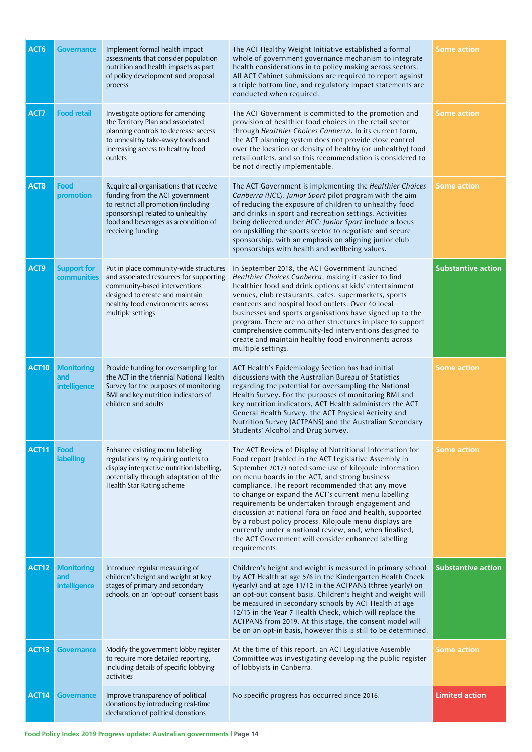| ACT <sub>6</sub>  | <b>Governance</b>                        | Implement formal health impact<br>assessments that consider population<br>nutrition and health impacts as part<br>of policy development and proposal<br>process                                                     | The ACT Healthy Weight Initiative established a formal<br>whole of government governance mechanism to integrate<br>health considerations in to policy making across sectors.<br>All ACT Cabinet submissions are required to report against<br>a triple bottom line, and regulatory impact statements are<br>conducted when required.                                                                                                                                                                                                                                                                                                                        | <b>Some action</b>        |
|-------------------|------------------------------------------|---------------------------------------------------------------------------------------------------------------------------------------------------------------------------------------------------------------------|-------------------------------------------------------------------------------------------------------------------------------------------------------------------------------------------------------------------------------------------------------------------------------------------------------------------------------------------------------------------------------------------------------------------------------------------------------------------------------------------------------------------------------------------------------------------------------------------------------------------------------------------------------------|---------------------------|
| ACT7              | <b>Food retail</b>                       | Investigate options for amending<br>the Territory Plan and associated<br>planning controls to decrease access<br>to unhealthy take-away foods and<br>increasing access to healthy food<br>outlets                   | The ACT Government is committed to the promotion and<br>provision of healthier food choices in the retail sector<br>through Healthier Choices Canberra. In its current form,<br>the ACT planning system does not provide close control<br>over the location or density of healthy (or unhealthy) food<br>retail outlets, and so this recommendation is considered to<br>be not directly implementable.                                                                                                                                                                                                                                                      | <b>Some action</b>        |
| ACT <sub>8</sub>  | <b>Food</b><br>promotion                 | Require all organisations that receive<br>funding from the ACT government<br>to restrict all promotion (including<br>sponsorship) related to unhealthy<br>food and beverages as a condition of<br>receiving funding | The ACT Government is implementing the Healthier Choices<br>Canberra (HCC): Junior Sport pilot program with the aim<br>of reducing the exposure of children to unhealthy food<br>and drinks in sport and recreation settings. Activities<br>being delivered under HCC: Junior Sport include a focus<br>on upskilling the sports sector to negotiate and secure<br>sponsorship, with an emphasis on aligning junior club<br>sponsorships with health and wellbeing values.                                                                                                                                                                                   | <b>Some action</b>        |
| ACT9              | <b>Support for</b><br>communities        | Put in place community-wide structures<br>and associated resources for supporting<br>community-based interventions<br>designed to create and maintain<br>healthy food environments across<br>multiple settings      | In September 2018, the ACT Government launched<br>Healthier Choices Canberra, making it easier to find<br>healthier food and drink options at kids' entertainment<br>venues, club restaurants, cafes, supermarkets, sports<br>canteens and hospital food outlets. Over 40 local<br>businesses and sports organisations have signed up to the<br>program. There are no other structures in place to support<br>comprehensive community-led interventions designed to<br>create and maintain healthy food environments across<br>multiple settings.                                                                                                           | <b>Substantive action</b> |
| <b>ACT10</b>      | <b>Monitoring</b><br>and<br>intelligence | Provide funding for oversampling for<br>the ACT in the triennial National Health<br>Survey for the purposes of monitoring<br>BMI and key nutrition indicators of<br>children and adults                             | ACT Health's Epidemiology Section has had initial<br>discussions with the Australian Bureau of Statistics<br>regarding the potential for oversampling the National<br>Health Survey. For the purposes of monitoring BMI and<br>key nutrition indicators, ACT Health administers the ACT<br>General Health Survey, the ACT Physical Activity and<br>Nutrition Survey (ACTPANS) and the Australian Secondary<br>Students' Alcohol and Drug Survey.                                                                                                                                                                                                            | Some action               |
| ACT11             | Food<br>labelling                        | Enhance existing menu labelling<br>regulations by requiring outlets to<br>display interpretive nutrition labelling,<br>potentially through adaptation of the<br><b>Health Star Rating scheme</b>                    | The ACT Review of Display of Nutritional Information for<br>Food report (tabled in the ACT Legislative Assembly in<br>September 2017) noted some use of kilojoule information<br>on menu boards in the ACT, and strong business<br>compliance. The report recommended that any move<br>to change or expand the ACT's current menu labelling<br>requirements be undertaken through engagement and<br>discussion at national fora on food and health, supported<br>by a robust policy process. Kilojoule menu displays are<br>currently under a national review, and, when finalised,<br>the ACT Government will consider enhanced labelling<br>requirements. | <b>Some action</b>        |
| ACT12             | <b>Monitoring</b><br>and<br>intelligence | Introduce regular measuring of<br>children's height and weight at key<br>stages of primary and secondary<br>schools, on an 'opt-out' consent basis                                                                  | Children's height and weight is measured in primary school<br>by ACT Health at age 5/6 in the Kindergarten Health Check<br>(yearly) and at age 11/12 in the ACTPANS (three yearly) on<br>an opt-out consent basis. Children's height and weight will<br>be measured in secondary schools by ACT Health at age<br>12/13 in the Year 7 Health Check, which will replace the<br>ACTPANS from 2019. At this stage, the consent model will<br>be on an opt-in basis, however this is still to be determined.                                                                                                                                                     | <b>Substantive action</b> |
| ACT <sub>13</sub> | <b>Governance</b>                        | Modify the government lobby register<br>to require more detailed reporting,<br>including details of specific lobbying<br>activities                                                                                 | At the time of this report, an ACT Legislative Assembly<br>Committee was investigating developing the public register<br>of lobbyists in Canberra.                                                                                                                                                                                                                                                                                                                                                                                                                                                                                                          | <b>Some action</b>        |
| ACT14             | <b>Governance</b>                        | Improve transparency of political<br>donations by introducing real-time<br>declaration of political donations                                                                                                       | No specific progress has occurred since 2016.                                                                                                                                                                                                                                                                                                                                                                                                                                                                                                                                                                                                               | <b>Limited action</b>     |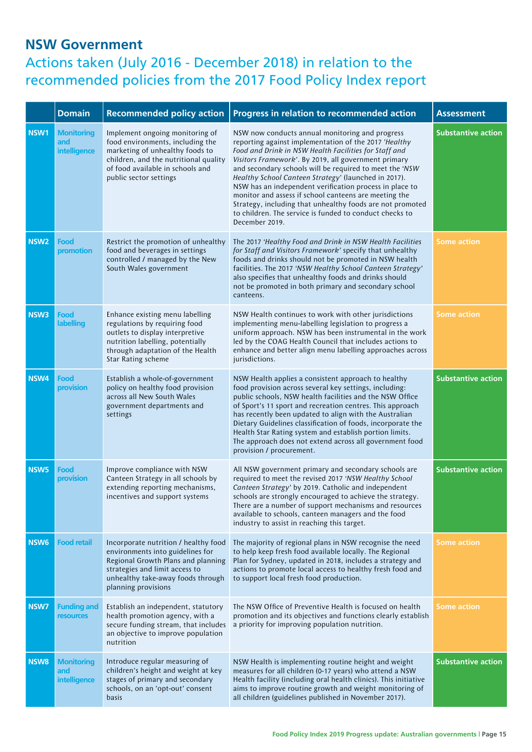#### **NSW Government**

|                  | <b>Domain</b>                                   | <b>Recommended policy action</b>                                                                                                                                                                              | Progress in relation to recommended action                                                                                                                                                                                                                                                                                                                                                                                                                                                                                                                                                                 | <b>Assessment</b>         |
|------------------|-------------------------------------------------|---------------------------------------------------------------------------------------------------------------------------------------------------------------------------------------------------------------|------------------------------------------------------------------------------------------------------------------------------------------------------------------------------------------------------------------------------------------------------------------------------------------------------------------------------------------------------------------------------------------------------------------------------------------------------------------------------------------------------------------------------------------------------------------------------------------------------------|---------------------------|
| NSW1             | <b>Monitoring</b><br>and<br>intelligence        | Implement ongoing monitoring of<br>food environments, including the<br>marketing of unhealthy foods to<br>children, and the nutritional quality<br>of food available in schools and<br>public sector settings | NSW now conducts annual monitoring and progress<br>reporting against implementation of the 2017 'Healthy<br>Food and Drink in NSW Health Facilities for Staff and<br>Visitors Framework'. By 2019, all government primary<br>and secondary schools will be required to meet the 'NSW<br>Healthy School Canteen Strategy' (launched in 2017).<br>NSW has an independent verification process in place to<br>monitor and assess if school canteens are meeting the<br>Strategy, including that unhealthy foods are not promoted<br>to children. The service is funded to conduct checks to<br>December 2019. | <b>Substantive action</b> |
| NSW <sub>2</sub> | Food<br>promotion                               | Restrict the promotion of unhealthy<br>food and beverages in settings<br>controlled / managed by the New<br>South Wales government                                                                            | The 2017 'Healthy Food and Drink in NSW Health Facilities<br>for Staff and Visitors Framework' specify that unhealthy<br>foods and drinks should not be promoted in NSW health<br>facilities. The 2017 'NSW Healthy School Canteen Strategy'<br>also specifies that unhealthy foods and drinks should<br>not be promoted in both primary and secondary school<br>canteens.                                                                                                                                                                                                                                 | <b>Some action</b>        |
| NSW3             | Food<br>labelling                               | Enhance existing menu labelling<br>regulations by requiring food<br>outlets to display interpretive<br>nutrition labelling, potentially<br>through adaptation of the Health<br>Star Rating scheme             | NSW Health continues to work with other jurisdictions<br>implementing menu-labelling legislation to progress a<br>uniform approach. NSW has been instrumental in the work<br>led by the COAG Health Council that includes actions to<br>enhance and better align menu labelling approaches across<br>jurisdictions.                                                                                                                                                                                                                                                                                        | <b>Some action</b>        |
| NSW <sub>4</sub> | Food<br>provision                               | Establish a whole-of-government<br>policy on healthy food provision<br>across all New South Wales<br>government departments and<br>settings                                                                   | NSW Health applies a consistent approach to healthy<br>food provision across several key settings, including:<br>public schools, NSW health facilities and the NSW Office<br>of Sport's 11 sport and recreation centres. This approach<br>has recently been updated to align with the Australian<br>Dietary Guidelines classification of foods, incorporate the<br>Health Star Rating system and establish portion limits.<br>The approach does not extend across all government food<br>provision / procurement.                                                                                          | <b>Substantive action</b> |
| NSW <sub>5</sub> | Food<br>provision                               | Improve compliance with NSW<br>Canteen Strategy in all schools by<br>extending reporting mechanisms,<br>incentives and support systems                                                                        | All NSW government primary and secondary schools are<br>required to meet the revised 2017 'NSW Healthy School<br>Canteen Strategy' by 2019. Catholic and independent<br>schools are strongly encouraged to achieve the strategy.<br>There are a number of support mechanisms and resources<br>available to schools, canteen managers and the food<br>industry to assist in reaching this target.                                                                                                                                                                                                           | <b>Substantive action</b> |
| NSW <sub>6</sub> | <b>Food retail</b>                              | Incorporate nutrition / healthy food<br>environments into guidelines for<br>Regional Growth Plans and planning<br>strategies and limit access to<br>unhealthy take-away foods through<br>planning provisions  | The majority of regional plans in NSW recognise the need<br>to help keep fresh food available locally. The Regional<br>Plan for Sydney, updated in 2018, includes a strategy and<br>actions to promote local access to healthy fresh food and<br>to support local fresh food production.                                                                                                                                                                                                                                                                                                                   | <b>Some action</b>        |
| NSW7             | <b>Funding and</b><br><b>resources</b>          | Establish an independent, statutory<br>health promotion agency, with a<br>secure funding stream, that includes<br>an objective to improve population<br>nutrition                                             | The NSW Office of Preventive Health is focused on health<br>promotion and its objectives and functions clearly establish<br>a priority for improving population nutrition.                                                                                                                                                                                                                                                                                                                                                                                                                                 | <b>Some action</b>        |
| NSW8             | <b>Monitoring</b><br>and<br><i>intelligence</i> | Introduce regular measuring of<br>children's height and weight at key<br>stages of primary and secondary<br>schools, on an 'opt-out' consent<br>basis                                                         | NSW Health is implementing routine height and weight<br>measures for all children (0-17 years) who attend a NSW<br>Health facility (including oral health clinics). This initiative<br>aims to improve routine growth and weight monitoring of<br>all children (guidelines published in November 2017).                                                                                                                                                                                                                                                                                                    | <b>Substantive action</b> |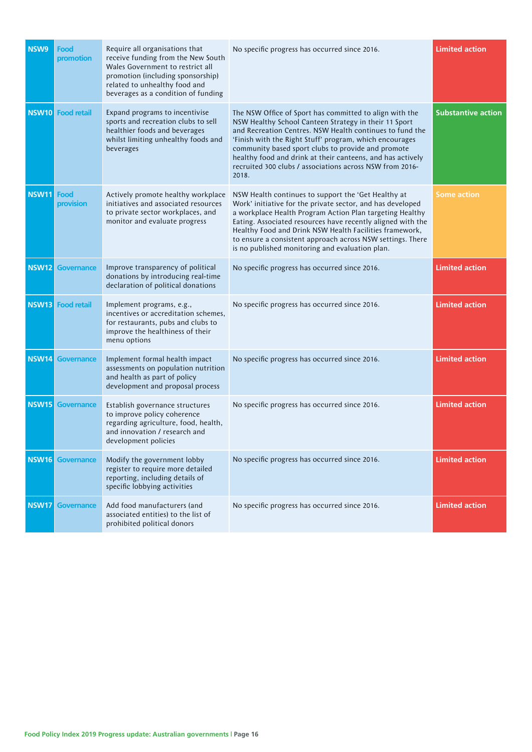| NSW9         | Food<br>promotion       | Require all organisations that<br>receive funding from the New South<br>Wales Government to restrict all<br>promotion (including sponsorship)<br>related to unhealthy food and<br>beverages as a condition of funding | No specific progress has occurred since 2016.                                                                                                                                                                                                                                                                                                                                                                                    | <b>Limited action</b>     |
|--------------|-------------------------|-----------------------------------------------------------------------------------------------------------------------------------------------------------------------------------------------------------------------|----------------------------------------------------------------------------------------------------------------------------------------------------------------------------------------------------------------------------------------------------------------------------------------------------------------------------------------------------------------------------------------------------------------------------------|---------------------------|
| <b>NSW10</b> | <b>Food retail</b>      | Expand programs to incentivise<br>sports and recreation clubs to sell<br>healthier foods and beverages<br>whilst limiting unhealthy foods and<br>beverages                                                            | The NSW Office of Sport has committed to align with the<br>NSW Healthy School Canteen Strategy in their 11 Sport<br>and Recreation Centres. NSW Health continues to fund the<br>'Finish with the Right Stuff' program, which encourages<br>community based sport clubs to provide and promote<br>healthy food and drink at their canteens, and has actively<br>recruited 300 clubs / associations across NSW from 2016-<br>2018. | <b>Substantive action</b> |
| <b>NSW11</b> | Food<br>provision       | Actively promote healthy workplace<br>initiatives and associated resources<br>to private sector workplaces, and<br>monitor and evaluate progress                                                                      | NSW Health continues to support the 'Get Healthy at<br>Work' initiative for the private sector, and has developed<br>a workplace Health Program Action Plan targeting Healthy<br>Eating. Associated resources have recently aligned with the<br>Healthy Food and Drink NSW Health Facilities framework,<br>to ensure a consistent approach across NSW settings. There<br>is no published monitoring and evaluation plan.         | <b>Some action</b>        |
| <b>NSW12</b> | <b>Governance</b>       | Improve transparency of political<br>donations by introducing real-time<br>declaration of political donations                                                                                                         | No specific progress has occurred since 2016.                                                                                                                                                                                                                                                                                                                                                                                    | <b>Limited action</b>     |
| <b>NSW13</b> | <b>Food retail</b>      | Implement programs, e.g.,<br>incentives or accreditation schemes,<br>for restaurants, pubs and clubs to<br>improve the healthiness of their<br>menu options                                                           | No specific progress has occurred since 2016.                                                                                                                                                                                                                                                                                                                                                                                    | <b>Limited action</b>     |
| <b>NSW14</b> | <b>Governance</b>       | Implement formal health impact<br>assessments on population nutrition<br>and health as part of policy<br>development and proposal process                                                                             | No specific progress has occurred since 2016.                                                                                                                                                                                                                                                                                                                                                                                    | <b>Limited action</b>     |
| <b>NSW15</b> | <b>Governance</b>       | Establish governance structures<br>to improve policy coherence<br>regarding agriculture, food, health,<br>and innovation / research and<br>development policies                                                       | No specific progress has occurred since 2016.                                                                                                                                                                                                                                                                                                                                                                                    | <b>Limited action</b>     |
|              | <b>NSW16</b> Governance | Modify the government lobby<br>register to require more detailed<br>reporting, including details of<br>specific lobbying activities                                                                                   | No specific progress has occurred since 2016.                                                                                                                                                                                                                                                                                                                                                                                    | <b>Limited action</b>     |
| <b>NSW17</b> | <b>Governance</b>       | Add food manufacturers (and<br>associated entities) to the list of<br>prohibited political donors                                                                                                                     | No specific progress has occurred since 2016.                                                                                                                                                                                                                                                                                                                                                                                    | <b>Limited action</b>     |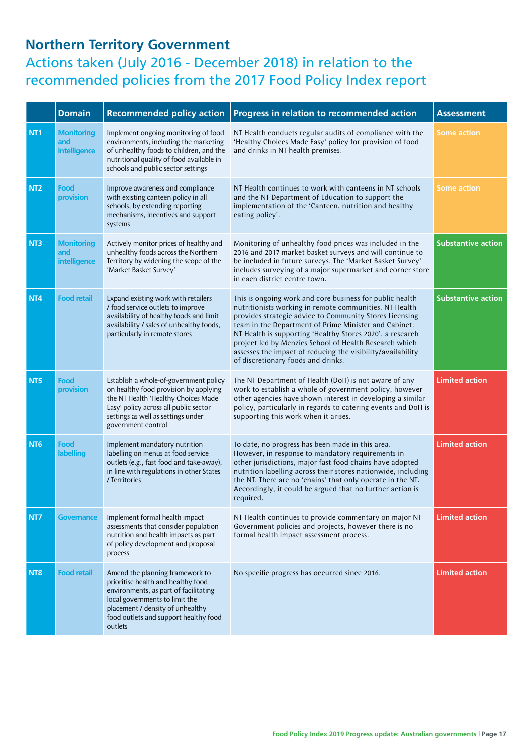#### **Northern Territory Government**

|                 | <b>Domain</b>                                   | <b>Recommended policy action</b>                                                                                                                                                                                                         | Progress in relation to recommended action                                                                                                                                                                                                                                                                                                                                                                                                                         | <b>Assessment</b>         |
|-----------------|-------------------------------------------------|------------------------------------------------------------------------------------------------------------------------------------------------------------------------------------------------------------------------------------------|--------------------------------------------------------------------------------------------------------------------------------------------------------------------------------------------------------------------------------------------------------------------------------------------------------------------------------------------------------------------------------------------------------------------------------------------------------------------|---------------------------|
| NT <sub>1</sub> | <b>Monitoring</b><br>and<br>intelligence        | Implement ongoing monitoring of food<br>environments, including the marketing<br>of unhealthy foods to children, and the<br>nutritional quality of food available in<br>schools and public sector settings                               | NT Health conducts regular audits of compliance with the<br>'Healthy Choices Made Easy' policy for provision of food<br>and drinks in NT health premises.                                                                                                                                                                                                                                                                                                          | <b>Some action</b>        |
| NT <sub>2</sub> | Food<br>provision                               | Improve awareness and compliance<br>with existing canteen policy in all<br>schools, by extending reporting<br>mechanisms, incentives and support<br>systems                                                                              | NT Health continues to work with canteens in NT schools<br>and the NT Department of Education to support the<br>implementation of the 'Canteen, nutrition and healthy<br>eating policy'.                                                                                                                                                                                                                                                                           | <b>Some action</b>        |
| NT <sub>3</sub> | <b>Monitoring</b><br>and<br><b>intelligence</b> | Actively monitor prices of healthy and<br>unhealthy foods across the Northern<br>Territory by widening the scope of the<br>'Market Basket Survey'                                                                                        | Monitoring of unhealthy food prices was included in the<br>2016 and 2017 market basket surveys and will continue to<br>be included in future surveys. The 'Market Basket Survey'<br>includes surveying of a major supermarket and corner store<br>in each district centre town.                                                                                                                                                                                    | <b>Substantive action</b> |
| NT4             | <b>Food retail</b>                              | Expand existing work with retailers<br>/ food service outlets to improve<br>availability of healthy foods and limit<br>availability / sales of unhealthy foods,<br>particularly in remote stores                                         | This is ongoing work and core business for public health<br>nutritionists working in remote communities. NT Health<br>provides strategic advice to Community Stores Licensing<br>team in the Department of Prime Minister and Cabinet.<br>NT Health is supporting 'Healthy Stores 2020', a research<br>project led by Menzies School of Health Research which<br>assesses the impact of reducing the visibility/availability<br>of discretionary foods and drinks. | <b>Substantive action</b> |
| NT5             | Food<br>provision                               | Establish a whole-of-government policy<br>on healthy food provision by applying<br>the NT Health 'Healthy Choices Made<br>Easy' policy across all public sector<br>settings as well as settings under<br>government control              | The NT Department of Health (DoH) is not aware of any<br>work to establish a whole of government policy, however<br>other agencies have shown interest in developing a similar<br>policy, particularly in regards to catering events and DoH is<br>supporting this work when it arises.                                                                                                                                                                            | <b>Limited action</b>     |
| NT <sub>6</sub> | Food<br>labelling                               | Implement mandatory nutrition<br>labelling on menus at food service<br>outlets (e.g., fast food and take-away),<br>in line with regulations in other States<br>/ Territories                                                             | To date, no progress has been made in this area.<br>However, in response to mandatory requirements in<br>other jurisdictions, major fast food chains have adopted<br>nutrition labelling across their stores nationwide, including<br>the NT. There are no 'chains' that only operate in the NT.<br>Accordingly, it could be argued that no further action is<br>required.                                                                                         | <b>Limited action</b>     |
| NT7             | Governance                                      | Implement formal health impact<br>assessments that consider population<br>nutrition and health impacts as part<br>of policy development and proposal<br>process                                                                          | NT Health continues to provide commentary on major NT<br>Government policies and projects, however there is no<br>formal health impact assessment process.                                                                                                                                                                                                                                                                                                         | <b>Limited action</b>     |
| NT8             | <b>Food retail</b>                              | Amend the planning framework to<br>prioritise health and healthy food<br>environments, as part of facilitating<br>local governments to limit the<br>placement / density of unhealthy<br>food outlets and support healthy food<br>outlets | No specific progress has occurred since 2016.                                                                                                                                                                                                                                                                                                                                                                                                                      | <b>Limited action</b>     |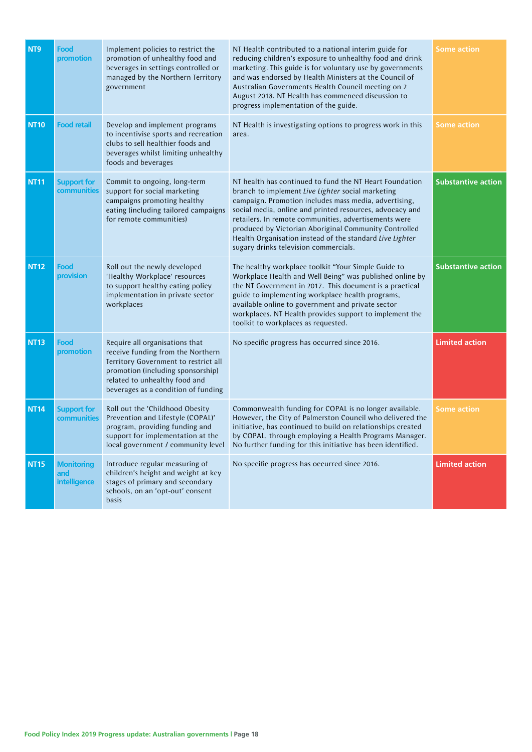| NT <sub>9</sub> | Food<br>promotion                        | Implement policies to restrict the<br>promotion of unhealthy food and<br>beverages in settings controlled or<br>managed by the Northern Territory<br>government                                                          | NT Health contributed to a national interim guide for<br>reducing children's exposure to unhealthy food and drink<br>marketing. This guide is for voluntary use by governments<br>and was endorsed by Health Ministers at the Council of<br>Australian Governments Health Council meeting on 2<br>August 2018. NT Health has commenced discussion to<br>progress implementation of the guide.                                                            | <b>Some action</b>        |
|-----------------|------------------------------------------|--------------------------------------------------------------------------------------------------------------------------------------------------------------------------------------------------------------------------|----------------------------------------------------------------------------------------------------------------------------------------------------------------------------------------------------------------------------------------------------------------------------------------------------------------------------------------------------------------------------------------------------------------------------------------------------------|---------------------------|
| <b>NT10</b>     | <b>Food retail</b>                       | Develop and implement programs<br>to incentivise sports and recreation<br>clubs to sell healthier foods and<br>beverages whilst limiting unhealthy<br>foods and beverages                                                | NT Health is investigating options to progress work in this<br>area.                                                                                                                                                                                                                                                                                                                                                                                     | <b>Some action</b>        |
| <b>NT11</b>     | <b>Support for</b><br>communities        | Commit to ongoing, long-term<br>support for social marketing<br>campaigns promoting healthy<br>eating (including tailored campaigns<br>for remote communities)                                                           | NT health has continued to fund the NT Heart Foundation<br>branch to implement Live Lighter social marketing<br>campaign. Promotion includes mass media, advertising,<br>social media, online and printed resources, advocacy and<br>retailers. In remote communities, advertisements were<br>produced by Victorian Aboriginal Community Controlled<br>Health Organisation instead of the standard Live Lighter<br>sugary drinks television commercials. | <b>Substantive action</b> |
| <b>NT12</b>     | Food<br>provision                        | Roll out the newly developed<br>'Healthy Workplace' resources<br>to support healthy eating policy<br>implementation in private sector<br>workplaces                                                                      | The healthy workplace toolkit "Your Simple Guide to<br>Workplace Health and Well Being" was published online by<br>the NT Government in 2017. This document is a practical<br>guide to implementing workplace health programs,<br>available online to government and private sector<br>workplaces. NT Health provides support to implement the<br>toolkit to workplaces as requested.                                                                    | <b>Substantive action</b> |
| <b>NT13</b>     | Food<br>promotion                        | Require all organisations that<br>receive funding from the Northern<br>Territory Government to restrict all<br>promotion (including sponsorship)<br>related to unhealthy food and<br>beverages as a condition of funding | No specific progress has occurred since 2016.                                                                                                                                                                                                                                                                                                                                                                                                            | <b>Limited action</b>     |
| <b>NT14</b>     | <b>Support for</b><br>communities        | Roll out the 'Childhood Obesity<br>Prevention and Lifestyle (COPAL)'<br>program, providing funding and<br>support for implementation at the<br>local government / community level                                        | Commonwealth funding for COPAL is no longer available.<br>However, the City of Palmerston Council who delivered the<br>initiative, has continued to build on relationships created<br>by COPAL, through employing a Health Programs Manager.<br>No further funding for this initiative has been identified.                                                                                                                                              | <b>Some action</b>        |
| <b>NT15</b>     | <b>Monitoring</b><br>and<br>intelligence | Introduce regular measuring of<br>children's height and weight at key<br>stages of primary and secondary<br>schools, on an 'opt-out' consent<br>basis                                                                    | No specific progress has occurred since 2016.                                                                                                                                                                                                                                                                                                                                                                                                            | <b>Limited action</b>     |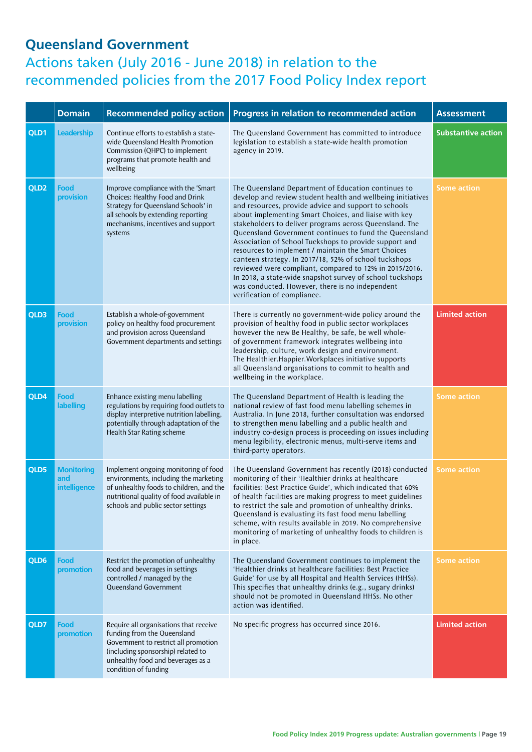#### **Queensland Government**  Actions taken (July 2016 - June 2018) in relation to the recommended policies from the 2017 Food Policy Index report

|                  | <b>Domain</b>                            | <b>Recommended policy action</b>                                                                                                                                                                                 | Progress in relation to recommended action                                                                                                                                                                                                                                                                                                                                                                                                                                                                                                                                                                                                                                                                                                  | <b>Assessment</b>         |
|------------------|------------------------------------------|------------------------------------------------------------------------------------------------------------------------------------------------------------------------------------------------------------------|---------------------------------------------------------------------------------------------------------------------------------------------------------------------------------------------------------------------------------------------------------------------------------------------------------------------------------------------------------------------------------------------------------------------------------------------------------------------------------------------------------------------------------------------------------------------------------------------------------------------------------------------------------------------------------------------------------------------------------------------|---------------------------|
| QLD1             | <b>Leadership</b>                        | Continue efforts to establish a state-<br>wide Queensland Health Promotion<br>Commission (QHPC) to implement<br>programs that promote health and<br>wellbeing                                                    | The Queensland Government has committed to introduce<br>legislation to establish a state-wide health promotion<br>agency in 2019.                                                                                                                                                                                                                                                                                                                                                                                                                                                                                                                                                                                                           | <b>Substantive action</b> |
| QLD <sub>2</sub> | Food<br>provision                        | Improve compliance with the 'Smart<br>Choices: Healthy Food and Drink<br>Strategy for Queensland Schools' in<br>all schools by extending reporting<br>mechanisms, incentives and support<br>systems              | The Queensland Department of Education continues to<br>develop and review student health and wellbeing initiatives<br>and resources, provide advice and support to schools<br>about implementing Smart Choices, and liaise with key<br>stakeholders to deliver programs across Queensland. The<br>Queensland Government continues to fund the Queensland<br>Association of School Tuckshops to provide support and<br>resources to implement / maintain the Smart Choices<br>canteen strategy. In 2017/18, 52% of school tuckshops<br>reviewed were compliant, compared to 12% in 2015/2016.<br>In 2018, a state-wide snapshot survey of school tuckshops<br>was conducted. However, there is no independent<br>verification of compliance. | <b>Some action</b>        |
| QLD3             | Food<br>provision                        | Establish a whole-of-government<br>policy on healthy food procurement<br>and provision across Queensland<br>Government departments and settings                                                                  | There is currently no government-wide policy around the<br>provision of healthy food in public sector workplaces<br>however the new Be Healthy, be safe, be well whole-<br>of government framework integrates wellbeing into<br>leadership, culture, work design and environment.<br>The Healthier.Happier.Workplaces initiative supports<br>all Queensland organisations to commit to health and<br>wellbeing in the workplace.                                                                                                                                                                                                                                                                                                            | <b>Limited action</b>     |
| QLD4             | Food<br><b>labelling</b>                 | Enhance existing menu labelling<br>regulations by requiring food outlets to<br>display interpretive nutrition labelling,<br>potentially through adaptation of the<br>Health Star Rating scheme                   | The Queensland Department of Health is leading the<br>national review of fast food menu labelling schemes in<br>Australia. In June 2018, further consultation was endorsed<br>to strengthen menu labelling and a public health and<br>industry co-design process is proceeding on issues including<br>menu legibility, electronic menus, multi-serve items and<br>third-party operators.                                                                                                                                                                                                                                                                                                                                                    | <b>Some action</b>        |
| QLD5             | <b>Monitoring</b><br>and<br>intelligence | Implement ongoing monitoring of food<br>environments, including the marketing<br>of unhealthy foods to children, and the<br>nutritional quality of food available in<br>schools and public sector settings       | The Queensland Government has recently (2018) conducted<br>monitoring of their 'Healthier drinks at healthcare<br>facilities: Best Practice Guide', which indicated that 60%<br>of health facilities are making progress to meet guidelines<br>to restrict the sale and promotion of unhealthy drinks.<br>Queensland is evaluating its fast food menu labelling<br>scheme, with results available in 2019. No comprehensive<br>monitoring of marketing of unhealthy foods to children is<br>in place.                                                                                                                                                                                                                                       | <b>Some action</b>        |
| QLD6             | Food<br>promotion                        | Restrict the promotion of unhealthy<br>food and beverages in settings<br>controlled / managed by the<br><b>Oueensland Government</b>                                                                             | The Queensland Government continues to implement the<br>'Healthier drinks at healthcare facilities: Best Practice<br>Guide' for use by all Hospital and Health Services (HHSs).<br>This specifies that unhealthy drinks (e.g., sugary drinks)<br>should not be promoted in Queensland HHSs. No other<br>action was identified.                                                                                                                                                                                                                                                                                                                                                                                                              | <b>Some action</b>        |
| QLD7             | Food<br>promotion                        | Require all organisations that receive<br>funding from the Queensland<br>Government to restrict all promotion<br>(including sponsorship) related to<br>unhealthy food and beverages as a<br>condition of funding | No specific progress has occurred since 2016.                                                                                                                                                                                                                                                                                                                                                                                                                                                                                                                                                                                                                                                                                               | <b>Limited action</b>     |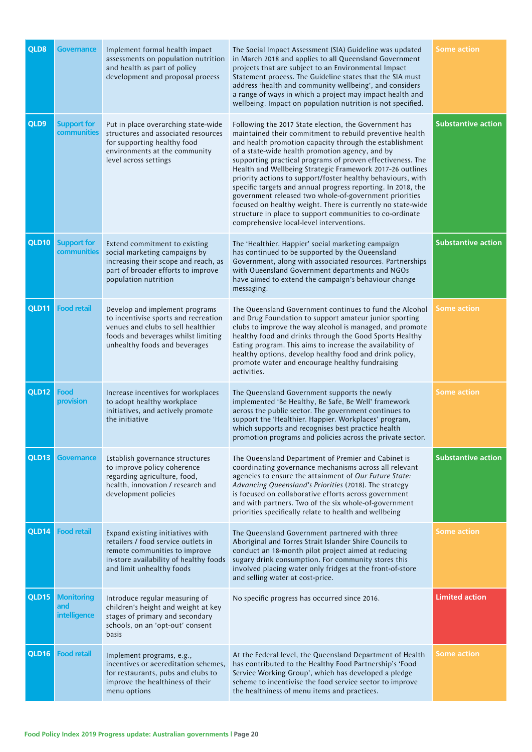| QLD8         | <b>Governance</b>                        | Implement formal health impact<br>assessments on population nutrition<br>and health as part of policy<br>development and proposal process                                            | The Social Impact Assessment (SIA) Guideline was updated<br>in March 2018 and applies to all Queensland Government<br>projects that are subject to an Environmental Impact<br>Statement process. The Guideline states that the SIA must<br>address 'health and community wellbeing', and considers<br>a range of ways in which a project may impact health and<br>wellbeing. Impact on population nutrition is not specified.                                                                                                                                                                                                                                                                                              | <b>Some action</b>        |
|--------------|------------------------------------------|--------------------------------------------------------------------------------------------------------------------------------------------------------------------------------------|----------------------------------------------------------------------------------------------------------------------------------------------------------------------------------------------------------------------------------------------------------------------------------------------------------------------------------------------------------------------------------------------------------------------------------------------------------------------------------------------------------------------------------------------------------------------------------------------------------------------------------------------------------------------------------------------------------------------------|---------------------------|
| QLD9         | <b>Support for</b><br>communities        | Put in place overarching state-wide<br>structures and associated resources<br>for supporting healthy food<br>environments at the community<br>level across settings                  | Following the 2017 State election, the Government has<br>maintained their commitment to rebuild preventive health<br>and health promotion capacity through the establishment<br>of a state-wide health promotion agency, and by<br>supporting practical programs of proven effectiveness. The<br>Health and Wellbeing Strategic Framework 2017-26 outlines<br>priority actions to support/foster healthy behaviours, with<br>specific targets and annual progress reporting. In 2018, the<br>government released two whole-of-government priorities<br>focused on healthy weight. There is currently no state-wide<br>structure in place to support communities to co-ordinate<br>comprehensive local-level interventions. | <b>Substantive action</b> |
| <b>QLD10</b> | <b>Support for</b><br>communities        | Extend commitment to existing<br>social marketing campaigns by<br>increasing their scope and reach, as<br>part of broader efforts to improve<br>population nutrition                 | The 'Healthier. Happier' social marketing campaign<br>has continued to be supported by the Queensland<br>Government, along with associated resources. Partnerships<br>with Queensland Government departments and NGOs<br>have aimed to extend the campaign's behaviour change<br>messaging.                                                                                                                                                                                                                                                                                                                                                                                                                                | <b>Substantive action</b> |
| QLD11        | <b>Food retail</b>                       | Develop and implement programs<br>to incentivise sports and recreation<br>venues and clubs to sell healthier<br>foods and beverages whilst limiting<br>unhealthy foods and beverages | The Queensland Government continues to fund the Alcohol<br>and Drug Foundation to support amateur junior sporting<br>clubs to improve the way alcohol is managed, and promote<br>healthy food and drinks through the Good Sports Healthy<br>Eating program. This aims to increase the availability of<br>healthy options, develop healthy food and drink policy,<br>promote water and encourage healthy fundraising<br>activities.                                                                                                                                                                                                                                                                                         | Some action               |
| <b>QLD12</b> | Food<br>provision                        | Increase incentives for workplaces<br>to adopt healthy workplace<br>initiatives, and actively promote<br>the initiative                                                              | The Queensland Government supports the newly<br>implemented 'Be Healthy, Be Safe, Be Well' framework<br>across the public sector. The government continues to<br>support the 'Healthier. Happier. Workplaces' program,<br>which supports and recognises best practice health<br>promotion programs and policies across the private sector.                                                                                                                                                                                                                                                                                                                                                                                 | <b>Some action</b>        |
| QLD13        | <b>Governance</b>                        | Establish governance structures<br>to improve policy coherence<br>regarding agriculture, food,<br>health, innovation / research and<br>development policies                          | The Queensland Department of Premier and Cabinet is<br>coordinating governance mechanisms across all relevant<br>agencies to ensure the attainment of Our Future State:<br>Advancing Queensland's Priorities (2018). The strategy<br>is focused on collaborative efforts across government<br>and with partners. Two of the six whole-of-government<br>priorities specifically relate to health and wellbeing                                                                                                                                                                                                                                                                                                              | <b>Substantive action</b> |
| QLD14        | <b>Food retail</b>                       | Expand existing initiatives with<br>retailers / food service outlets in<br>remote communities to improve<br>in-store availability of healthy foods<br>and limit unhealthy foods      | The Queensland Government partnered with three<br>Aboriginal and Torres Strait Islander Shire Councils to<br>conduct an 18-month pilot project aimed at reducing<br>sugary drink consumption. For community stores this<br>involved placing water only fridges at the front-of-store<br>and selling water at cost-price.                                                                                                                                                                                                                                                                                                                                                                                                   | <b>Some action</b>        |
| QLD15        | <b>Monitoring</b><br>and<br>intelligence | Introduce regular measuring of<br>children's height and weight at key<br>stages of primary and secondary<br>schools, on an 'opt-out' consent<br>basis                                | No specific progress has occurred since 2016.                                                                                                                                                                                                                                                                                                                                                                                                                                                                                                                                                                                                                                                                              | <b>Limited action</b>     |
| QLD16        | <b>Food retail</b>                       | Implement programs, e.g.,<br>incentives or accreditation schemes,<br>for restaurants, pubs and clubs to<br>improve the healthiness of their<br>menu options                          | At the Federal level, the Queensland Department of Health<br>has contributed to the Healthy Food Partnership's 'Food<br>Service Working Group', which has developed a pledge<br>scheme to incentivise the food service sector to improve<br>the healthiness of menu items and practices.                                                                                                                                                                                                                                                                                                                                                                                                                                   | <b>Some action</b>        |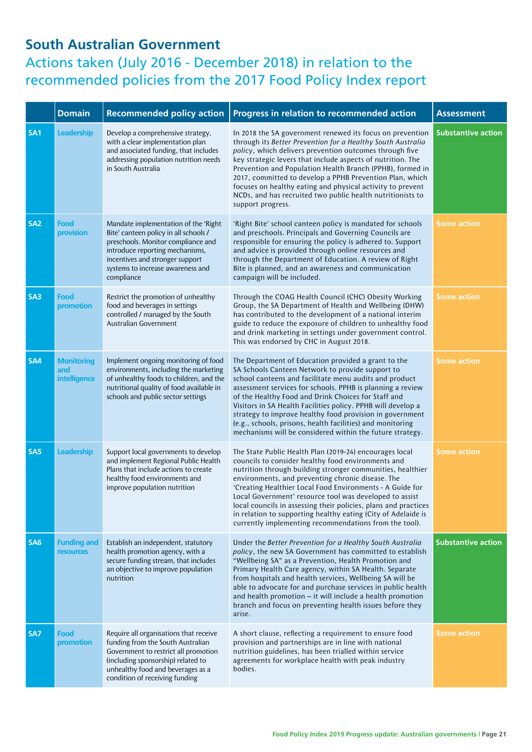#### **South Australian Government**

|                 | <b>Domain</b>                            | <b>Recommended policy action</b>                                                                                                                                                                                                             | Progress in relation to recommended action                                                                                                                                                                                                                                                                                                                                                                                                                                                                                                             | <b>Assessment</b>         |
|-----------------|------------------------------------------|----------------------------------------------------------------------------------------------------------------------------------------------------------------------------------------------------------------------------------------------|--------------------------------------------------------------------------------------------------------------------------------------------------------------------------------------------------------------------------------------------------------------------------------------------------------------------------------------------------------------------------------------------------------------------------------------------------------------------------------------------------------------------------------------------------------|---------------------------|
| SA <sub>1</sub> | Leadership                               | Develop a comprehensive strategy,<br>with a clear implementation plan<br>and associated funding, that includes<br>addressing population nutrition needs<br>in South Australia                                                                | In 2018 the SA government renewed its focus on prevention<br>through its Better Prevention for a Healthy South Australia<br>policy, which delivers prevention outcomes through five<br>key strategic levers that include aspects of nutrition. The<br>Prevention and Population Health Branch (PPHB), formed in<br>2017, committed to develop a PPHB Prevention Plan, which<br>focuses on healthy eating and physical activity to prevent<br>NCDs, and has recruited two public health nutritionists to<br>support progress.                           | <b>Substantive action</b> |
| SA <sub>2</sub> | Food<br>provision                        | Mandate implementation of the 'Right<br>Bite' canteen policy in all schools /<br>preschools. Monitor compliance and<br>introduce reporting mechanisms,<br>incentives and stronger support<br>systems to increase awareness and<br>compliance | 'Right Bite' school canteen policy is mandated for schools<br>and preschools. Principals and Governing Councils are<br>responsible for ensuring the policy is adhered to. Support<br>and advice is provided through online resources and<br>through the Department of Education. A review of Right<br>Bite is planned, and an awareness and communication<br>campaign will be included.                                                                                                                                                                | <b>Some action</b>        |
| SA3             | Food<br>promotion                        | Restrict the promotion of unhealthy<br>food and beverages in settings<br>controlled / managed by the South<br>Australian Government                                                                                                          | Through the COAG Health Council (CHC) Obesity Working<br>Group, the SA Department of Health and Wellbeing (DHW)<br>has contributed to the development of a national interim<br>guide to reduce the exposure of children to unhealthy food<br>and drink marketing in settings under government control.<br>This was endorsed by CHC in August 2018.                                                                                                                                                                                                     | <b>Some action</b>        |
| SA4             | <b>Monitoring</b><br>and<br>intelligence | Implement ongoing monitoring of food<br>environments, including the marketing<br>of unhealthy foods to children, and the<br>nutritional quality of food available in<br>schools and public sector settings                                   | The Department of Education provided a grant to the<br>SA Schools Canteen Network to provide support to<br>school canteens and facilitate menu audits and product<br>assessment services for schools. PPHB is planning a review<br>of the Healthy Food and Drink Choices for Staff and<br>Visitors in SA Health Facilities policy. PPHB will develop a<br>strategy to improve healthy food provision in government<br>(e.g., schools, prisons, health facilities) and monitoring<br>mechanisms will be considered within the future strategy.          | <b>Some action</b>        |
| SA <sub>5</sub> | Leadership                               | Support local governments to develop<br>and implement Regional Public Health<br>Plans that include actions to create<br>healthy food environments and<br>improve population nutrition                                                        | The State Public Health Plan (2019-24) encourages local<br>councils to consider healthy food environments and<br>nutrition through building stronger communities, healthier<br>environments, and preventing chronic disease. The<br>'Creating Healthier Local Food Environments - A Guide for<br>Local Government' resource tool was developed to assist<br>local councils in assessing their policies, plans and practices<br>in relation to supporting healthy eating (City of Adelaide is<br>currently implementing recommendations from the tool). | <b>Some action</b>        |
| SA <sub>6</sub> | <b>Funding and</b><br><b>resources</b>   | Establish an independent, statutory<br>health promotion agency, with a<br>secure funding stream, that includes<br>an objective to improve population<br>nutrition                                                                            | Under the Better Prevention for a Healthy South Australia<br>policy, the new SA Government has committed to establish<br>"Wellbeing SA" as a Prevention, Health Promotion and<br>Primary Health Care agency, within SA Health. Separate<br>from hospitals and health services, Wellbeing SA will be<br>able to advocate for and purchase services in public health<br>and health promotion - it will include a health promotion<br>branch and focus on preventing health issues before they<br>arise.                                                  | <b>Substantive action</b> |
| SA7             | <b>Food</b><br>promotion                 | Require all organisations that receive<br>funding from the South Australian<br>Government to restrict all promotion<br>(including sponsorship) related to<br>unhealthy food and beverages as a<br>condition of receiving funding             | A short clause, reflecting a requirement to ensure food<br>provision and partnerships are in line with national<br>nutrition guidelines, has been trialled within service<br>agreements for workplace health with peak industry<br>bodies.                                                                                                                                                                                                                                                                                                             | <b>Some action</b>        |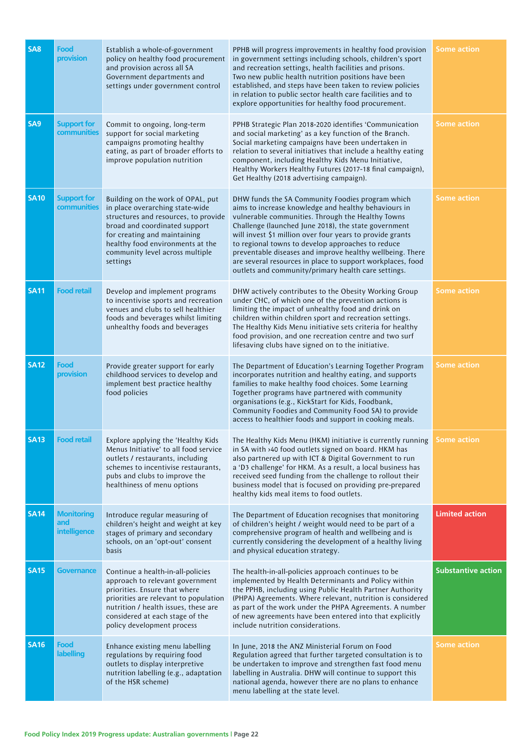| SA <sub>8</sub> | Food<br>provision                               | Establish a whole-of-government<br>policy on healthy food procurement<br>and provision across all SA<br>Government departments and<br>settings under government control                                                                                          | PPHB will progress improvements in healthy food provision<br>in government settings including schools, children's sport<br>and recreation settings, health facilities and prisons.<br>Two new public health nutrition positions have been<br>established, and steps have been taken to review policies<br>in relation to public sector health care facilities and to<br>explore opportunities for healthy food procurement.                                                                                               | Some action               |
|-----------------|-------------------------------------------------|------------------------------------------------------------------------------------------------------------------------------------------------------------------------------------------------------------------------------------------------------------------|---------------------------------------------------------------------------------------------------------------------------------------------------------------------------------------------------------------------------------------------------------------------------------------------------------------------------------------------------------------------------------------------------------------------------------------------------------------------------------------------------------------------------|---------------------------|
| SA <sub>9</sub> | <b>Support for</b><br>communities               | Commit to ongoing, long-term<br>support for social marketing<br>campaigns promoting healthy<br>eating, as part of broader efforts to<br>improve population nutrition                                                                                             | PPHB Strategic Plan 2018-2020 identifies 'Communication<br>and social marketing' as a key function of the Branch.<br>Social marketing campaigns have been undertaken in<br>relation to several initiatives that include a healthy eating<br>component, including Healthy Kids Menu Initiative,<br>Healthy Workers Healthy Futures (2017-18 final campaign),<br>Get Healthy (2018 advertising campaign).                                                                                                                   | Some action               |
| <b>SA10</b>     | <b>Support for</b><br>communities               | Building on the work of OPAL, put<br>in place overarching state-wide<br>structures and resources, to provide<br>broad and coordinated support<br>for creating and maintaining<br>healthy food environments at the<br>community level across multiple<br>settings | DHW funds the SA Community Foodies program which<br>aims to increase knowledge and healthy behaviours in<br>vulnerable communities. Through the Healthy Towns<br>Challenge (launched June 2018), the state government<br>will invest \$1 million over four years to provide grants<br>to regional towns to develop approaches to reduce<br>preventable diseases and improve healthy wellbeing. There<br>are several resources in place to support workplaces, food<br>outlets and community/primary health care settings. | <b>Some action</b>        |
| <b>SA11</b>     | <b>Food retail</b>                              | Develop and implement programs<br>to incentivise sports and recreation<br>venues and clubs to sell healthier<br>foods and beverages whilst limiting<br>unhealthy foods and beverages                                                                             | DHW actively contributes to the Obesity Working Group<br>under CHC, of which one of the prevention actions is<br>limiting the impact of unhealthy food and drink on<br>children within children sport and recreation settings.<br>The Healthy Kids Menu initiative sets criteria for healthy<br>food provision, and one recreation centre and two surf<br>lifesaving clubs have signed on to the initiative.                                                                                                              | <b>Some action</b>        |
| <b>SA12</b>     | Food<br>provision                               | Provide greater support for early<br>childhood services to develop and<br>implement best practice healthy<br>food policies                                                                                                                                       | The Department of Education's Learning Together Program<br>incorporates nutrition and healthy eating, and supports<br>families to make healthy food choices. Some Learning<br>Together programs have partnered with community<br>organisations (e.g., KickStart for Kids, Foodbank,<br>Community Foodies and Community Food SA) to provide<br>access to healthier foods and support in cooking meals.                                                                                                                     | Some action               |
| <b>SA13</b>     | <b>Food retail</b>                              | Explore applying the 'Healthy Kids<br>Menus Initiative' to all food service<br>outlets / restaurants, including<br>schemes to incentivise restaurants,<br>pubs and clubs to improve the<br>healthiness of menu options                                           | The Healthy Kids Menu (HKM) initiative is currently running Some action<br>in SA with >40 food outlets signed on board. HKM has<br>also partnered up with ICT & Digital Government to run<br>a 'D3 challenge' for HKM. As a result, a local business has<br>received seed funding from the challenge to rollout their<br>business model that is focused on providing pre-prepared<br>healthy kids meal items to food outlets.                                                                                             |                           |
| <b>SA14</b>     | <b>Monitoring</b><br>and<br><i>intelligence</i> | Introduce regular measuring of<br>children's height and weight at key<br>stages of primary and secondary<br>schools, on an 'opt-out' consent<br>basis                                                                                                            | The Department of Education recognises that monitoring<br>of children's height / weight would need to be part of a<br>comprehensive program of health and wellbeing and is<br>currently considering the development of a healthy living<br>and physical education strategy.                                                                                                                                                                                                                                               | <b>Limited action</b>     |
| <b>SA15</b>     | <b>Governance</b>                               | Continue a health-in-all-policies<br>approach to relevant government<br>priorities. Ensure that where<br>priorities are relevant to population<br>nutrition / health issues, these are<br>considered at each stage of the<br>policy development process          | The health-in-all-policies approach continues to be<br>implemented by Health Determinants and Policy within<br>the PPHB, including using Public Health Partner Authority<br>(PHPA) Agreements. Where relevant, nutrition is considered<br>as part of the work under the PHPA Agreements. A number<br>of new agreements have been entered into that explicitly<br>include nutrition considerations.                                                                                                                        | <b>Substantive action</b> |
| <b>SA16</b>     | Food<br>labelling                               | Enhance existing menu labelling<br>regulations by requiring food<br>outlets to display interpretive<br>nutrition labelling (e.g., adaptation<br>of the HSR scheme)                                                                                               | In June, 2018 the ANZ Ministerial Forum on Food<br>Regulation agreed that further targeted consultation is to<br>be undertaken to improve and strengthen fast food menu<br>labelling in Australia. DHW will continue to support this<br>national agenda, however there are no plans to enhance<br>menu labelling at the state level.                                                                                                                                                                                      | Some action               |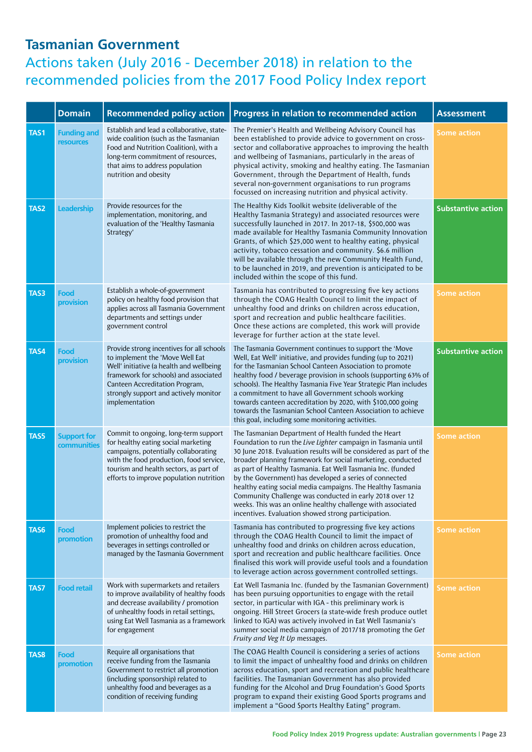|             | <b>Domain</b>                     | <b>Recommended policy action</b>                                                                                                                                                                                                                               | Progress in relation to recommended action                                                                                                                                                                                                                                                                                                                                                                                                                                                                                                                                                                                        | <b>Assessment</b>         |
|-------------|-----------------------------------|----------------------------------------------------------------------------------------------------------------------------------------------------------------------------------------------------------------------------------------------------------------|-----------------------------------------------------------------------------------------------------------------------------------------------------------------------------------------------------------------------------------------------------------------------------------------------------------------------------------------------------------------------------------------------------------------------------------------------------------------------------------------------------------------------------------------------------------------------------------------------------------------------------------|---------------------------|
| TAS1        | <b>Funding and</b><br>resources   | Establish and lead a collaborative, state-<br>wide coalition (such as the Tasmanian<br>Food and Nutrition Coalition), with a<br>long-term commitment of resources,<br>that aims to address population<br>nutrition and obesity                                 | The Premier's Health and Wellbeing Advisory Council has<br>been established to provide advice to government on cross-<br>sector and collaborative approaches to improving the health<br>and wellbeing of Tasmanians, particularly in the areas of<br>physical activity, smoking and healthy eating. The Tasmanian<br>Government, through the Department of Health, funds<br>several non-government organisations to run programs<br>focussed on increasing nutrition and physical activity.                                                                                                                                       | <b>Some action</b>        |
| TAS2        | Leadership                        | Provide resources for the<br>implementation, monitoring, and<br>evaluation of the 'Healthy Tasmania<br>Strategy'                                                                                                                                               | The Healthy Kids Toolkit website (deliverable of the<br>Healthy Tasmania Strategy) and associated resources were<br>successfully launched in 2017. In 2017-18, \$500,000 was<br>made available for Healthy Tasmania Community Innovation<br>Grants, of which \$25,000 went to healthy eating, physical<br>activity, tobacco cessation and community. \$6.6 million<br>will be available through the new Community Health Fund,<br>to be launched in 2019, and prevention is anticipated to be<br>included within the scope of this fund.                                                                                          | <b>Substantive action</b> |
| TAS3        | Food<br>provision                 | Establish a whole-of-government<br>policy on healthy food provision that<br>applies across all Tasmania Government<br>departments and settings under<br>government control                                                                                     | Tasmania has contributed to progressing five key actions<br>through the COAG Health Council to limit the impact of<br>unhealthy food and drinks on children across education,<br>sport and recreation and public healthcare facilities.<br>Once these actions are completed, this work will provide<br>leverage for further action at the state level.                                                                                                                                                                                                                                                                            | <b>Some action</b>        |
| <b>TAS4</b> | Food<br>provision                 | Provide strong incentives for all schools<br>to implement the 'Move Well Eat<br>Well' initiative (a health and wellbeing<br>framework for schools) and associated<br>Canteen Accreditation Program,<br>strongly support and actively monitor<br>implementation | The Tasmania Government continues to support the 'Move<br>Well, Eat Well' initiative, and provides funding (up to 2021)<br>for the Tasmanian School Canteen Association to promote<br>healthy food / beverage provision in schools (supporting 63% of<br>schools). The Healthy Tasmania Five Year Strategic Plan includes<br>a commitment to have all Government schools working<br>towards canteen accreditation by 2020, with \$100,000 going<br>towards the Tasmanian School Canteen Association to achieve<br>this goal, including some monitoring activities.                                                                | <b>Substantive action</b> |
| TAS5        | <b>Support for</b><br>communities | Commit to ongoing, long-term support<br>for healthy eating social marketing<br>campaigns, potentially collaborating<br>with the food production, food service,<br>tourism and health sectors, as part of<br>efforts to improve population nutrition            | The Tasmanian Department of Health funded the Heart<br>Foundation to run the Live Lighter campaign in Tasmania until<br>30 June 2018. Evaluation results will be considered as part of the<br>broader planning framework for social marketing, conducted<br>as part of Healthy Tasmania. Eat Well Tasmania Inc. (funded<br>by the Government) has developed a series of connected<br>healthy eating social media campaigns. The Healthy Tasmania<br>Community Challenge was conducted in early 2018 over 12<br>weeks. This was an online healthy challenge with associated<br>incentives. Evaluation showed strong participation. | <b>Some action</b>        |
| TAS6        | Food<br>promotion                 | Implement policies to restrict the<br>promotion of unhealthy food and<br>beverages in settings controlled or<br>managed by the Tasmania Government                                                                                                             | Tasmania has contributed to progressing five key actions<br>through the COAG Health Council to limit the impact of<br>unhealthy food and drinks on children across education,<br>sport and recreation and public healthcare facilities. Once<br>finalised this work will provide useful tools and a foundation<br>to leverage action across government controlled settings.                                                                                                                                                                                                                                                       | <b>Some action</b>        |
| TAS7        | <b>Food retail</b>                | Work with supermarkets and retailers<br>to improve availability of healthy foods<br>and decrease availability / promotion<br>of unhealthy foods in retail settings,<br>using Eat Well Tasmania as a framework<br>for engagement                                | Eat Well Tasmania Inc. (funded by the Tasmanian Government)<br>has been pursuing opportunities to engage with the retail<br>sector, in particular with IGA - this preliminary work is<br>ongoing. Hill Street Grocers (a state-wide fresh produce outlet<br>linked to IGA) was actively involved in Eat Well Tasmania's<br>summer social media campaign of 2017/18 promoting the Get<br>Fruity and Veg It Up messages.                                                                                                                                                                                                            | <b>Some action</b>        |
| TAS8        | Food<br>promotion                 | Require all organisations that<br>receive funding from the Tasmania<br>Government to restrict all promotion<br>(including sponsorship) related to<br>unhealthy food and beverages as a<br>condition of receiving funding                                       | The COAG Health Council is considering a series of actions<br>to limit the impact of unhealthy food and drinks on children<br>across education, sport and recreation and public healthcare<br>facilities. The Tasmanian Government has also provided<br>funding for the Alcohol and Drug Foundation's Good Sports<br>program to expand their existing Good Sports programs and<br>implement a "Good Sports Healthy Eating" program.                                                                                                                                                                                               | <b>Some action</b>        |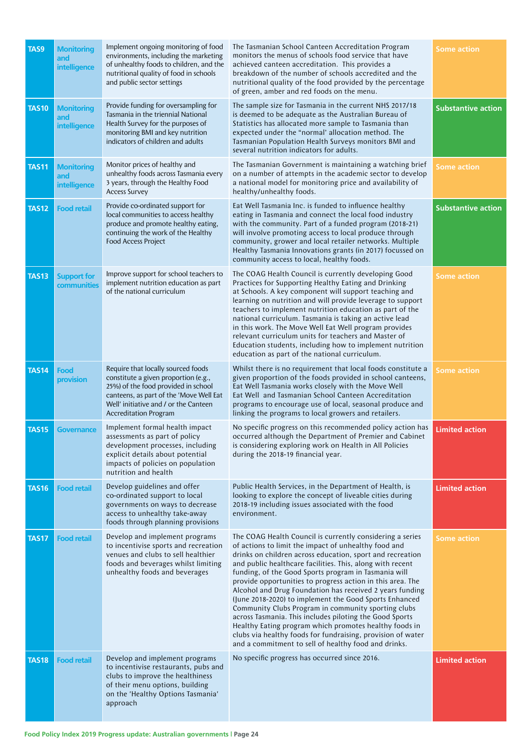| TAS9         | <b>Monitoring</b><br>and<br>intelligence | Implement ongoing monitoring of food<br>environments, including the marketing<br>of unhealthy foods to children, and the<br>nutritional quality of food in schools<br>and public sector settings                                      | The Tasmanian School Canteen Accreditation Program<br>monitors the menus of schools food service that have<br>achieved canteen accreditation. This provides a<br>breakdown of the number of schools accredited and the<br>nutritional quality of the food provided by the percentage<br>of green, amber and red foods on the menu.                                                                                                                                                                                                                                                                                                                                                                                                                                                         | <b>Some action</b>        |
|--------------|------------------------------------------|---------------------------------------------------------------------------------------------------------------------------------------------------------------------------------------------------------------------------------------|--------------------------------------------------------------------------------------------------------------------------------------------------------------------------------------------------------------------------------------------------------------------------------------------------------------------------------------------------------------------------------------------------------------------------------------------------------------------------------------------------------------------------------------------------------------------------------------------------------------------------------------------------------------------------------------------------------------------------------------------------------------------------------------------|---------------------------|
| <b>TAS10</b> | <b>Monitoring</b><br>and<br>intelligence | Provide funding for oversampling for<br>Tasmania in the triennial National<br>Health Survey for the purposes of<br>monitoring BMI and key nutrition<br>indicators of children and adults                                              | The sample size for Tasmania in the current NHS 2017/18<br>is deemed to be adequate as the Australian Bureau of<br>Statistics has allocated more sample to Tasmania than<br>expected under the "normal' allocation method. The<br>Tasmanian Population Health Surveys monitors BMI and<br>several nutrition indicators for adults.                                                                                                                                                                                                                                                                                                                                                                                                                                                         | <b>Substantive action</b> |
| <b>TAS11</b> | <b>Monitoring</b><br>and<br>intelligence | Monitor prices of healthy and<br>unhealthy foods across Tasmania every<br>3 years, through the Healthy Food<br><b>Access Survey</b>                                                                                                   | The Tasmanian Government is maintaining a watching brief<br>on a number of attempts in the academic sector to develop<br>a national model for monitoring price and availability of<br>healthy/unhealthy foods.                                                                                                                                                                                                                                                                                                                                                                                                                                                                                                                                                                             | <b>Some action</b>        |
| <b>TAS12</b> | <b>Food retail</b>                       | Provide co-ordinated support for<br>local communities to access healthy<br>produce and promote healthy eating,<br>continuing the work of the Healthy<br>Food Access Project                                                           | Eat Well Tasmania Inc. is funded to influence healthy<br>eating in Tasmania and connect the local food industry<br>with the community. Part of a funded program (2018-21)<br>will involve promoting access to local produce through<br>community, grower and local retailer networks. Multiple<br>Healthy Tasmania Innovations grants (in 2017) focussed on<br>community access to local, healthy foods.                                                                                                                                                                                                                                                                                                                                                                                   | <b>Substantive action</b> |
| <b>TAS13</b> | <b>Support for</b><br>communities        | Improve support for school teachers to<br>implement nutrition education as part<br>of the national curriculum                                                                                                                         | The COAG Health Council is currently developing Good<br>Practices for Supporting Healthy Eating and Drinking<br>at Schools. A key component will support teaching and<br>learning on nutrition and will provide leverage to support<br>teachers to implement nutrition education as part of the<br>national curriculum. Tasmania is taking an active lead<br>in this work. The Move Well Eat Well program provides<br>relevant curriculum units for teachers and Master of<br>Education students, including how to implement nutrition<br>education as part of the national curriculum.                                                                                                                                                                                                    | <b>Some action</b>        |
| <b>TAS14</b> | Food<br>provision                        | Require that locally sourced foods<br>constitute a given proportion (e.g.,<br>25%) of the food provided in school<br>canteens, as part of the 'Move Well Eat<br>Well' initiative and / or the Canteen<br><b>Accreditation Program</b> | Whilst there is no requirement that local foods constitute a<br>given proportion of the foods provided in school canteens,<br>Eat Well Tasmania works closely with the Move Well<br>Eat Well and Tasmanian School Canteen Accreditation<br>programs to encourage use of local, seasonal produce and<br>linking the programs to local growers and retailers.                                                                                                                                                                                                                                                                                                                                                                                                                                | <b>Some action</b>        |
| <b>TAS15</b> | <b>Governance</b>                        | Implement formal health impact<br>assessments as part of policy<br>development processes, including<br>explicit details about potential<br>impacts of policies on population<br>nutrition and health                                  | No specific progress on this recommended policy action has<br>occurred although the Department of Premier and Cabinet<br>is considering exploring work on Health in All Policies<br>during the 2018-19 financial year.                                                                                                                                                                                                                                                                                                                                                                                                                                                                                                                                                                     | <b>Limited action</b>     |
| <b>TAS16</b> | <b>Food retail</b>                       | Develop guidelines and offer<br>co-ordinated support to local<br>governments on ways to decrease<br>access to unhealthy take-away<br>foods through planning provisions                                                                | Public Health Services, in the Department of Health, is<br>looking to explore the concept of liveable cities during<br>2018-19 including issues associated with the food<br>environment.                                                                                                                                                                                                                                                                                                                                                                                                                                                                                                                                                                                                   | <b>Limited action</b>     |
| <b>TAS17</b> | <b>Food retail</b>                       | Develop and implement programs<br>to incentivise sports and recreation<br>venues and clubs to sell healthier<br>foods and beverages whilst limiting<br>unhealthy foods and beverages                                                  | The COAG Health Council is currently considering a series<br>of actions to limit the impact of unhealthy food and<br>drinks on children across education, sport and recreation<br>and public healthcare facilities. This, along with recent<br>funding, of the Good Sports program in Tasmania will<br>provide opportunities to progress action in this area. The<br>Alcohol and Drug Foundation has received 2 years funding<br>(June 2018-2020) to implement the Good Sports Enhanced<br>Community Clubs Program in community sporting clubs<br>across Tasmania. This includes piloting the Good Sports<br>Healthy Eating program which promotes healthy foods in<br>clubs via healthy foods for fundraising, provision of water<br>and a commitment to sell of healthy food and drinks. | <b>Some action</b>        |
| <b>TAS18</b> | <b>Food retail</b>                       | Develop and implement programs<br>to incentivise restaurants, pubs and<br>clubs to improve the healthiness<br>of their menu options, building<br>on the 'Healthy Options Tasmania'<br>approach                                        | No specific progress has occurred since 2016.                                                                                                                                                                                                                                                                                                                                                                                                                                                                                                                                                                                                                                                                                                                                              | <b>Limited action</b>     |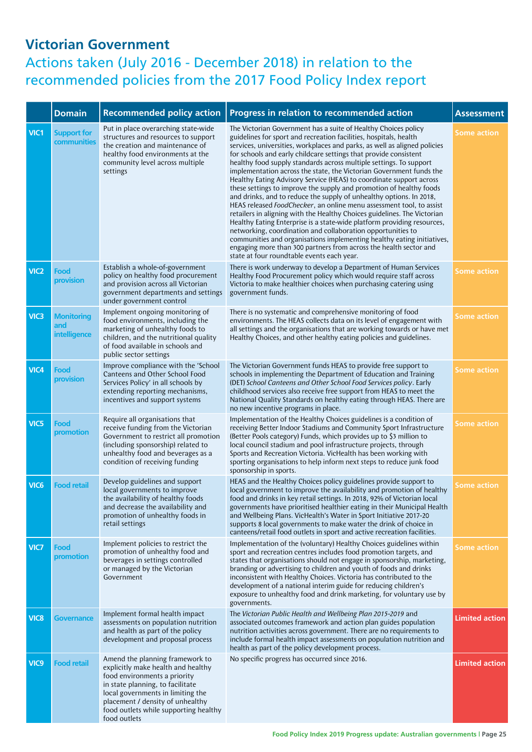|                  | <b>Domain</b>                                   | <b>Recommended policy action</b>                                                                                                                                                                                                                                            | Progress in relation to recommended action                                                                                                                                                                                                                                                                                                                                                                                                                                                                                                                                                                                                                                                                                                                                                                                                                                                                                                                                                                                                                                                                                                        | <b>Assessment</b>     |
|------------------|-------------------------------------------------|-----------------------------------------------------------------------------------------------------------------------------------------------------------------------------------------------------------------------------------------------------------------------------|---------------------------------------------------------------------------------------------------------------------------------------------------------------------------------------------------------------------------------------------------------------------------------------------------------------------------------------------------------------------------------------------------------------------------------------------------------------------------------------------------------------------------------------------------------------------------------------------------------------------------------------------------------------------------------------------------------------------------------------------------------------------------------------------------------------------------------------------------------------------------------------------------------------------------------------------------------------------------------------------------------------------------------------------------------------------------------------------------------------------------------------------------|-----------------------|
| VIC1             | <b>Support for</b><br>communities               | Put in place overarching state-wide<br>structures and resources to support<br>the creation and maintenance of<br>healthy food environments at the<br>community level across multiple<br>settings                                                                            | The Victorian Government has a suite of Healthy Choices policy<br>guidelines for sport and recreation facilities, hospitals, health<br>services, universities, workplaces and parks, as well as aligned policies<br>for schools and early childcare settings that provide consistent<br>healthy food supply standards across multiple settings. To support<br>implementation across the state, the Victorian Government funds the<br>Healthy Eating Advisory Service (HEAS) to coordinate support across<br>these settings to improve the supply and promotion of healthy foods<br>and drinks, and to reduce the supply of unhealthy options. In 2018,<br>HEAS released FoodChecker, an online menu assessment tool, to assist<br>retailers in aligning with the Healthy Choices guidelines. The Victorian<br>Healthy Eating Enterprise is a state-wide platform providing resources,<br>networking, coordination and collaboration opportunities to<br>communities and organisations implementing healthy eating initiatives,<br>engaging more than 300 partners from across the health sector and<br>state at four roundtable events each year. | Some action           |
| VIC <sub>2</sub> | <b>Food</b><br>provision                        | Establish a whole-of-government<br>policy on healthy food procurement<br>and provision across all Victorian<br>government departments and settings<br>under government control                                                                                              | There is work underway to develop a Department of Human Services<br>Healthy Food Procurement policy which would require staff across<br>Victoria to make healthier choices when purchasing catering using<br>government funds.                                                                                                                                                                                                                                                                                                                                                                                                                                                                                                                                                                                                                                                                                                                                                                                                                                                                                                                    | <b>Some action</b>    |
| VIC <sub>3</sub> | <b>Monitoring</b><br>and<br><b>intelligence</b> | Implement ongoing monitoring of<br>food environments, including the<br>marketing of unhealthy foods to<br>children, and the nutritional quality<br>of food available in schools and<br>public sector settings                                                               | There is no systematic and comprehensive monitoring of food<br>environments. The HEAS collects data on its level of engagement with<br>all settings and the organisations that are working towards or have met<br>Healthy Choices, and other healthy eating policies and guidelines.                                                                                                                                                                                                                                                                                                                                                                                                                                                                                                                                                                                                                                                                                                                                                                                                                                                              | <b>Some action</b>    |
| VIC4             | Food<br>provision                               | Improve compliance with the 'School<br>Canteens and Other School Food<br>Services Policy' in all schools by<br>extending reporting mechanisms,<br>incentives and support systems                                                                                            | The Victorian Government funds HEAS to provide free support to<br>schools in implementing the Department of Education and Training<br>(DET) School Canteens and Other School Food Services policy. Early<br>childhood services also receive free support from HEAS to meet the<br>National Quality Standards on healthy eating through HEAS. There are<br>no new incentive programs in place.                                                                                                                                                                                                                                                                                                                                                                                                                                                                                                                                                                                                                                                                                                                                                     | Some action           |
| VIC5             | Food<br>promotion                               | Require all organisations that<br>receive funding from the Victorian<br>Government to restrict all promotion<br>(including sponsorship) related to<br>unhealthy food and beverages as a<br>condition of receiving funding                                                   | Implementation of the Healthy Choices guidelines is a condition of<br>receiving Better Indoor Stadiums and Community Sport Infrastructure<br>(Better Pools category) Funds, which provides up to \$3 million to<br>local council stadium and pool infrastructure projects, through<br>Sports and Recreation Victoria. VicHealth has been working with<br>sporting organisations to help inform next steps to reduce junk food<br>sponsorship in sports.                                                                                                                                                                                                                                                                                                                                                                                                                                                                                                                                                                                                                                                                                           | Some action           |
| VIC <sub>6</sub> | <b>Food retail</b>                              | Develop guidelines and support<br>local governments to improve<br>the availability of healthy foods<br>and decrease the availability and<br>promotion of unhealthy foods in<br>retail settings                                                                              | HEAS and the Healthy Choices policy guidelines provide support to<br>local government to improve the availability and promotion of healthy<br>food and drinks in key retail settings. In 2018, 92% of Victorian local<br>governments have prioritised healthier eating in their Municipal Health<br>and Wellbeing Plans. VicHealth's Water in Sport Initiative 2017-20<br>supports 8 local governments to make water the drink of choice in<br>canteens/retail food outlets in sport and active recreation facilities.                                                                                                                                                                                                                                                                                                                                                                                                                                                                                                                                                                                                                            | Some action           |
| VIC7             | Food<br>promotion                               | Implement policies to restrict the<br>promotion of unhealthy food and<br>beverages in settings controlled<br>or managed by the Victorian<br>Government                                                                                                                      | Implementation of the (voluntary) Healthy Choices guidelines within<br>sport and recreation centres includes food promotion targets, and<br>states that organisations should not engage in sponsorship, marketing,<br>branding or advertising to children and youth of foods and drinks<br>inconsistent with Healthy Choices. Victoria has contributed to the<br>development of a national interim guide for reducing children's<br>exposure to unhealthy food and drink marketing, for voluntary use by<br>governments.                                                                                                                                                                                                                                                                                                                                                                                                                                                                                                                                                                                                                          | Some action           |
| VIC <sub>8</sub> | Governance                                      | Implement formal health impact<br>assessments on population nutrition<br>and health as part of the policy<br>development and proposal process                                                                                                                               | The Victorian Public Health and Wellbeing Plan 2015-2019 and<br>associated outcomes framework and action plan guides population<br>nutrition activities across government. There are no requirements to<br>include formal health impact assessments on population nutrition and<br>health as part of the policy development process.                                                                                                                                                                                                                                                                                                                                                                                                                                                                                                                                                                                                                                                                                                                                                                                                              | <b>Limited action</b> |
| VIC <sub>9</sub> | <b>Food retail</b>                              | Amend the planning framework to<br>explicitly make health and healthy<br>food environments a priority<br>in state planning, to facilitate<br>local governments in limiting the<br>placement / density of unhealthy<br>food outlets while supporting healthy<br>food outlets | No specific progress has occurred since 2016.                                                                                                                                                                                                                                                                                                                                                                                                                                                                                                                                                                                                                                                                                                                                                                                                                                                                                                                                                                                                                                                                                                     | <b>Limited action</b> |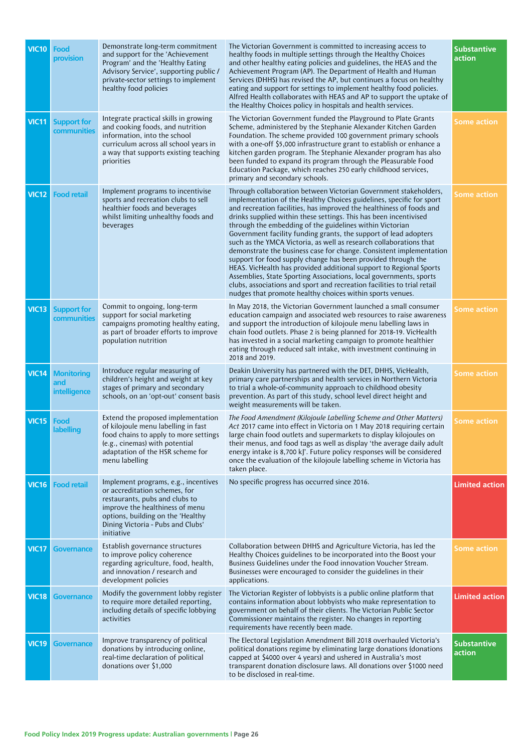| VIC10        | Food<br>provision                               | Demonstrate long-term commitment<br>and support for the 'Achievement<br>Program' and the 'Healthy Eating<br>Advisory Service', supporting public /<br>private-sector settings to implement<br>healthy food policies                | The Victorian Government is committed to increasing access to<br>healthy foods in multiple settings through the Healthy Choices<br>and other healthy eating policies and guidelines, the HEAS and the<br>Achievement Program (AP). The Department of Health and Human<br>Services (DHHS) has revised the AP, but continues a focus on healthy<br>eating and support for settings to implement healthy food policies.<br>Alfred Health collaborates with HEAS and AP to support the uptake of<br>the Healthy Choices policy in hospitals and health services.                                                                                                                                                                                                                                                                                                                                                           | <b>Substantive</b><br>action |
|--------------|-------------------------------------------------|------------------------------------------------------------------------------------------------------------------------------------------------------------------------------------------------------------------------------------|------------------------------------------------------------------------------------------------------------------------------------------------------------------------------------------------------------------------------------------------------------------------------------------------------------------------------------------------------------------------------------------------------------------------------------------------------------------------------------------------------------------------------------------------------------------------------------------------------------------------------------------------------------------------------------------------------------------------------------------------------------------------------------------------------------------------------------------------------------------------------------------------------------------------|------------------------------|
| <b>VIC11</b> | <b>Support for</b><br>communities               | Integrate practical skills in growing<br>and cooking foods, and nutrition<br>information, into the school<br>curriculum across all school years in<br>a way that supports existing teaching<br>priorities                          | The Victorian Government funded the Playground to Plate Grants<br>Scheme, administered by the Stephanie Alexander Kitchen Garden<br>Foundation. The scheme provided 100 government primary schools<br>with a one-off \$5,000 infrastructure grant to establish or enhance a<br>kitchen garden program. The Stephanie Alexander program has also<br>been funded to expand its program through the Pleasurable Food<br>Education Package, which reaches 250 early childhood services,<br>primary and secondary schools.                                                                                                                                                                                                                                                                                                                                                                                                  | <b>Some action</b>           |
| <b>VIC12</b> | <b>Food retail</b>                              | Implement programs to incentivise<br>sports and recreation clubs to sell<br>healthier foods and beverages<br>whilst limiting unhealthy foods and<br>beverages                                                                      | Through collaboration between Victorian Government stakeholders,<br>implementation of the Healthy Choices guidelines, specific for sport<br>and recreation facilities, has improved the healthiness of foods and<br>drinks supplied within these settings. This has been incentivised<br>through the embedding of the guidelines within Victorian<br>Government facility funding grants, the support of lead adopters<br>such as the YMCA Victoria, as well as research collaborations that<br>demonstrate the business case for change. Consistent implementation<br>support for food supply change has been provided through the<br>HEAS. VicHealth has provided additional support to Regional Sports<br>Assemblies, State Sporting Associations, local governments, sports<br>clubs, associations and sport and recreation facilities to trial retail<br>nudges that promote healthy choices within sports venues. | <b>Some action</b>           |
| <b>VIC13</b> | <b>Support for</b><br>communities               | Commit to ongoing, long-term<br>support for social marketing<br>campaigns promoting healthy eating,<br>as part of broader efforts to improve<br>population nutrition                                                               | In May 2018, the Victorian Government launched a small consumer<br>education campaign and associated web resources to raise awareness<br>and support the introduction of kilojoule menu labelling laws in<br>chain food outlets. Phase 2 is being planned for 2018-19. VicHealth<br>has invested in a social marketing campaign to promote healthier<br>eating through reduced salt intake, with investment continuing in<br>2018 and 2019.                                                                                                                                                                                                                                                                                                                                                                                                                                                                            | Some action                  |
| <b>VIC14</b> | <b>Monitoring</b><br>and<br><b>intelligence</b> | Introduce regular measuring of<br>children's height and weight at key<br>stages of primary and secondary<br>schools, on an 'opt-out' consent basis                                                                                 | Deakin University has partnered with the DET, DHHS, VicHealth,<br>primary care partnerships and health services in Northern Victoria<br>to trial a whole-of-community approach to childhood obesity<br>prevention. As part of this study, school level direct height and<br>weight measurements will be taken.                                                                                                                                                                                                                                                                                                                                                                                                                                                                                                                                                                                                         | <b>Some action</b>           |
| <b>VIC15</b> | Food<br>labelling                               | Extend the proposed implementation<br>of kilojoule menu labelling in fast<br>food chains to apply to more settings<br>(e.g., cinemas) with potential<br>adaptation of the HSR scheme for<br>menu labelling                         | The Food Amendment (Kilojoule Labelling Scheme and Other Matters)<br>Act 2017 came into effect in Victoria on 1 May 2018 requiring certain<br>large chain food outlets and supermarkets to display kilojoules on<br>their menus, and food tags as well as display 'the average daily adult<br>energy intake is 8,700 kJ'. Future policy responses will be considered<br>once the evaluation of the kilojoule labelling scheme in Victoria has<br>taken place.                                                                                                                                                                                                                                                                                                                                                                                                                                                          | Some action                  |
| <b>VIC16</b> | <b>Food retail</b>                              | Implement programs, e.g., incentives<br>or accreditation schemes, for<br>restaurants, pubs and clubs to<br>improve the healthiness of menu<br>options, building on the 'Healthy<br>Dining Victoria - Pubs and Clubs'<br>initiative | No specific progress has occurred since 2016.                                                                                                                                                                                                                                                                                                                                                                                                                                                                                                                                                                                                                                                                                                                                                                                                                                                                          | <b>Limited action</b>        |
| <b>VIC17</b> | Governance                                      | Establish governance structures<br>to improve policy coherence<br>regarding agriculture, food, health,<br>and innovation / research and<br>development policies                                                                    | Collaboration between DHHS and Agriculture Victoria, has led the<br>Healthy Choices guidelines to be incorporated into the Boost your<br>Business Guidelines under the Food innovation Voucher Stream.<br>Businesses were encouraged to consider the guidelines in their<br>applications.                                                                                                                                                                                                                                                                                                                                                                                                                                                                                                                                                                                                                              | <b>Some action</b>           |
| <b>VIC18</b> | <b>Governance</b>                               | Modify the government lobby register<br>to require more detailed reporting,<br>including details of specific lobbying<br>activities                                                                                                | The Victorian Register of lobbyists is a public online platform that<br>contains information about lobbyists who make representation to<br>government on behalf of their clients. The Victorian Public Sector<br>Commissioner maintains the register. No changes in reporting<br>requirements have recently been made.                                                                                                                                                                                                                                                                                                                                                                                                                                                                                                                                                                                                 | <b>Limited action</b>        |
| <b>VIC19</b> | <b>Governance</b>                               | Improve transparency of political<br>donations by introducing online,<br>real-time declaration of political<br>donations over \$1,000                                                                                              | The Electoral Legislation Amendment Bill 2018 overhauled Victoria's<br>political donations regime by eliminating large donations (donations<br>capped at \$4000 over 4 years) and ushered in Australia's most<br>transparent donation disclosure laws. All donations over \$1000 need<br>to be disclosed in real-time.                                                                                                                                                                                                                                                                                                                                                                                                                                                                                                                                                                                                 | <b>Substantive</b><br>action |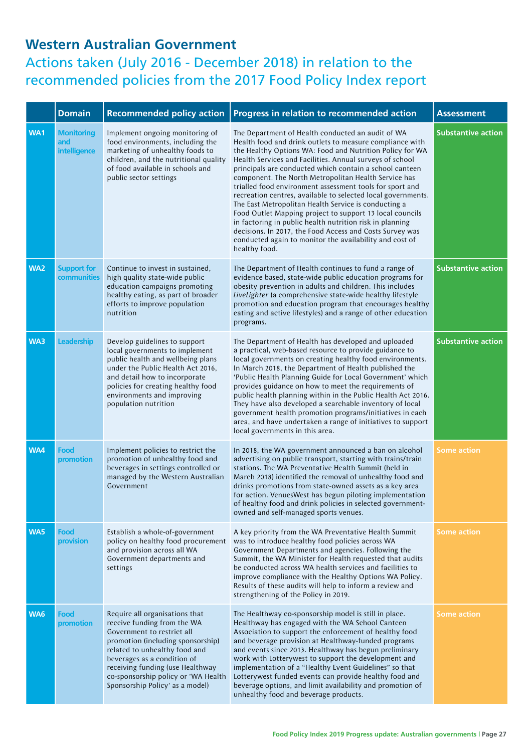#### **Western Australian Government**

|     | <b>Domain</b>                            | <b>Recommended policy action</b>                                                                                                                                                                                                                                                                               | Progress in relation to recommended action                                                                                                                                                                                                                                                                                                                                                                                                                                                                                                                                                                                                                                                                                                                                                                   | <b>Assessment</b>         |
|-----|------------------------------------------|----------------------------------------------------------------------------------------------------------------------------------------------------------------------------------------------------------------------------------------------------------------------------------------------------------------|--------------------------------------------------------------------------------------------------------------------------------------------------------------------------------------------------------------------------------------------------------------------------------------------------------------------------------------------------------------------------------------------------------------------------------------------------------------------------------------------------------------------------------------------------------------------------------------------------------------------------------------------------------------------------------------------------------------------------------------------------------------------------------------------------------------|---------------------------|
| WA1 | <b>Monitoring</b><br>and<br>intelligence | Implement ongoing monitoring of<br>food environments, including the<br>marketing of unhealthy foods to<br>children, and the nutritional quality<br>of food available in schools and<br>public sector settings                                                                                                  | The Department of Health conducted an audit of WA<br>Health food and drink outlets to measure compliance with<br>the Healthy Options WA: Food and Nutrition Policy for WA<br>Health Services and Facilities. Annual surveys of school<br>principals are conducted which contain a school canteen<br>component. The North Metropolitan Health Service has<br>trialled food environment assessment tools for sport and<br>recreation centres, available to selected local governments.<br>The East Metropolitan Health Service is conducting a<br>Food Outlet Mapping project to support 13 local councils<br>in factoring in public health nutrition risk in planning<br>decisions. In 2017, the Food Access and Costs Survey was<br>conducted again to monitor the availability and cost of<br>healthy food. | <b>Substantive action</b> |
| WA2 | <b>Support for</b><br>communities        | Continue to invest in sustained,<br>high quality state-wide public<br>education campaigns promoting<br>healthy eating, as part of broader<br>efforts to improve population<br>nutrition                                                                                                                        | The Department of Health continues to fund a range of<br>evidence based, state-wide public education programs for<br>obesity prevention in adults and children. This includes<br>LiveLighter (a comprehensive state-wide healthy lifestyle<br>promotion and education program that encourages healthy<br>eating and active lifestyles) and a range of other education<br>programs.                                                                                                                                                                                                                                                                                                                                                                                                                           | <b>Substantive action</b> |
| WA3 | <b>Leadership</b>                        | Develop guidelines to support<br>local governments to implement<br>public health and wellbeing plans<br>under the Public Health Act 2016,<br>and detail how to incorporate<br>policies for creating healthy food<br>environments and improving<br>population nutrition                                         | The Department of Health has developed and uploaded<br>a practical, web-based resource to provide guidance to<br>local governments on creating healthy food environments.<br>In March 2018, the Department of Health published the<br>'Public Health Planning Guide for Local Government' which<br>provides guidance on how to meet the requirements of<br>public health planning within in the Public Health Act 2016.<br>They have also developed a searchable inventory of local<br>government health promotion programs/initiatives in each<br>area, and have undertaken a range of initiatives to support<br>local governments in this area.                                                                                                                                                            | <b>Substantive action</b> |
| WA4 | Food<br>promotion                        | Implement policies to restrict the<br>promotion of unhealthy food and<br>beverages in settings controlled or<br>managed by the Western Australian<br>Government                                                                                                                                                | In 2018, the WA government announced a ban on alcohol<br>advertising on public transport, starting with trains/train<br>stations. The WA Preventative Health Summit (held in<br>March 2018) identified the removal of unhealthy food and<br>drinks promotions from state-owned assets as a key area<br>for action. VenuesWest has begun piloting implementation<br>of healthy food and drink policies in selected government-<br>owned and self-managed sports venues.                                                                                                                                                                                                                                                                                                                                       | <b>Some action</b>        |
| WA5 | Food<br>provision                        | Establish a whole-of-government<br>policy on healthy food procurement<br>and provision across all WA<br>Government departments and<br>settings                                                                                                                                                                 | A key priority from the WA Preventative Health Summit<br>was to introduce healthy food policies across WA<br>Government Departments and agencies. Following the<br>Summit, the WA Minister for Health requested that audits<br>be conducted across WA health services and facilities to<br>improve compliance with the Healthy Options WA Policy.<br>Results of these audits will help to inform a review and<br>strengthening of the Policy in 2019.                                                                                                                                                                                                                                                                                                                                                        | <b>Some action</b>        |
| WA6 | Food<br>promotion                        | Require all organisations that<br>receive funding from the WA<br>Government to restrict all<br>promotion (including sponsorship)<br>related to unhealthy food and<br>beverages as a condition of<br>receiving funding (use Healthway<br>co-sponsorship policy or 'WA Health<br>Sponsorship Policy' as a model) | The Healthway co-sponsorship model is still in place.<br>Healthway has engaged with the WA School Canteen<br>Association to support the enforcement of healthy food<br>and beverage provision at Healthway-funded programs<br>and events since 2013. Healthway has begun preliminary<br>work with Lotterywest to support the development and<br>implementation of a "Healthy Event Guidelines" so that<br>Lotterywest funded events can provide healthy food and<br>beverage options, and limit availability and promotion of<br>unhealthy food and beverage products.                                                                                                                                                                                                                                       | <b>Some action</b>        |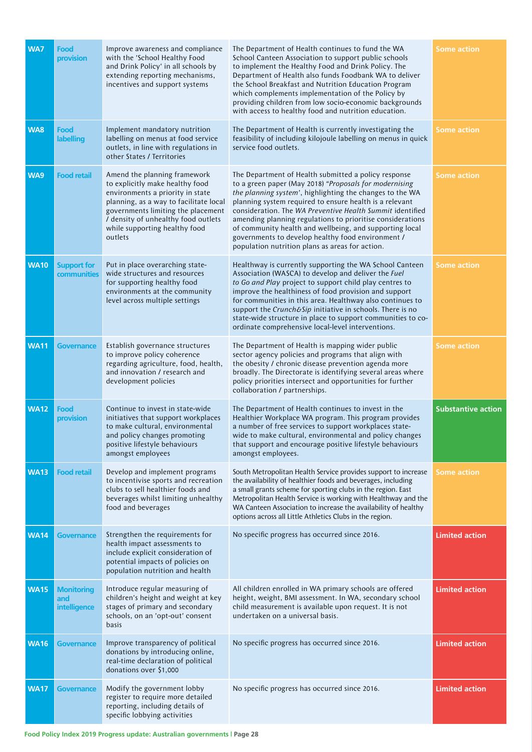| WA7         | Food<br>provision                               | Improve awareness and compliance<br>with the 'School Healthy Food<br>and Drink Policy' in all schools by<br>extending reporting mechanisms,<br>incentives and support systems                                                                                          | The Department of Health continues to fund the WA<br>School Canteen Association to support public schools<br>to implement the Healthy Food and Drink Policy. The<br>Department of Health also funds Foodbank WA to deliver<br>the School Breakfast and Nutrition Education Program<br>which complements implementation of the Policy by<br>providing children from low socio-economic backgrounds<br>with access to healthy food and nutrition education.                                                                           | <b>Some action</b>        |
|-------------|-------------------------------------------------|------------------------------------------------------------------------------------------------------------------------------------------------------------------------------------------------------------------------------------------------------------------------|-------------------------------------------------------------------------------------------------------------------------------------------------------------------------------------------------------------------------------------------------------------------------------------------------------------------------------------------------------------------------------------------------------------------------------------------------------------------------------------------------------------------------------------|---------------------------|
| WA8         | Food<br><b>labelling</b>                        | Implement mandatory nutrition<br>labelling on menus at food service<br>outlets, in line with regulations in<br>other States / Territories                                                                                                                              | The Department of Health is currently investigating the<br>feasibility of including kilojoule labelling on menus in quick<br>service food outlets.                                                                                                                                                                                                                                                                                                                                                                                  | <b>Some action</b>        |
| WA9         | <b>Food retail</b>                              | Amend the planning framework<br>to explicitly make healthy food<br>environments a priority in state<br>planning, as a way to facilitate local<br>governments limiting the placement<br>/ density of unhealthy food outlets<br>while supporting healthy food<br>outlets | The Department of Health submitted a policy response<br>to a green paper (May 2018) "Proposals for modernising<br>the planning system', highlighting the changes to the WA<br>planning system required to ensure health is a relevant<br>consideration. The WA Preventive Health Summit identified<br>amending planning regulations to prioritise considerations<br>of community health and wellbeing, and supporting local<br>governments to develop healthy food environment /<br>population nutrition plans as areas for action. | <b>Some action</b>        |
| <b>WA10</b> | <b>Support for</b><br>communities               | Put in place overarching state-<br>wide structures and resources<br>for supporting healthy food<br>environments at the community<br>level across multiple settings                                                                                                     | Healthway is currently supporting the WA School Canteen<br>Association (WASCA) to develop and deliver the Fuel<br>to Go and Play project to support child play centres to<br>improve the healthiness of food provision and support<br>for communities in this area. Healthway also continues to<br>support the Crunch&Sip initiative in schools. There is no<br>state-wide structure in place to support communities to co-<br>ordinate comprehensive local-level interventions.                                                    | <b>Some action</b>        |
| <b>WA11</b> | <b>Governance</b>                               | Establish governance structures<br>to improve policy coherence<br>regarding agriculture, food, health,<br>and innovation / research and<br>development policies                                                                                                        | The Department of Health is mapping wider public<br>sector agency policies and programs that align with<br>the obesity / chronic disease prevention agenda more<br>broadly. The Directorate is identifying several areas where<br>policy priorities intersect and opportunities for further<br>collaboration / partnerships.                                                                                                                                                                                                        | <b>Some action</b>        |
| <b>WA12</b> | Food<br>provision                               | Continue to invest in state-wide<br>initiatives that support workplaces<br>to make cultural, environmental<br>and policy changes promoting<br>positive lifestyle behaviours<br>amongst employees                                                                       | The Department of Health continues to invest in the<br>Healthier Workplace WA program. This program provides<br>a number of free services to support workplaces state-<br>wide to make cultural, environmental and policy changes<br>that support and encourage positive lifestyle behaviours<br>amongst employees.                                                                                                                                                                                                                 | <b>Substantive action</b> |
| <b>WA13</b> | <b>Food retail</b>                              | Develop and implement programs<br>to incentivise sports and recreation<br>clubs to sell healthier foods and<br>beverages whilst limiting unhealthy<br>food and beverages                                                                                               | South Metropolitan Health Service provides support to increase<br>the availability of healthier foods and beverages, including<br>a small grants scheme for sporting clubs in the region. East<br>Metropolitan Health Service is working with Healthway and the<br>WA Canteen Association to increase the availability of healthy<br>options across all Little Athletics Clubs in the region.                                                                                                                                       | <b>Some action</b>        |
| <b>WA14</b> | <b>Governance</b>                               | Strengthen the requirements for<br>health impact assessments to<br>include explicit consideration of<br>potential impacts of policies on<br>population nutrition and health                                                                                            | No specific progress has occurred since 2016.                                                                                                                                                                                                                                                                                                                                                                                                                                                                                       | <b>Limited action</b>     |
| <b>WA15</b> | <b>Monitoring</b><br>and<br><b>intelligence</b> | Introduce regular measuring of<br>children's height and weight at key<br>stages of primary and secondary<br>schools, on an 'opt-out' consent<br>basis                                                                                                                  | All children enrolled in WA primary schools are offered<br>height, weight, BMI assessment. In WA, secondary school<br>child measurement is available upon request. It is not<br>undertaken on a universal basis.                                                                                                                                                                                                                                                                                                                    | <b>Limited action</b>     |
| <b>WA16</b> | <b>Governance</b>                               | Improve transparency of political<br>donations by introducing online,<br>real-time declaration of political<br>donations over \$1,000                                                                                                                                  | No specific progress has occurred since 2016.                                                                                                                                                                                                                                                                                                                                                                                                                                                                                       | <b>Limited action</b>     |
| <b>WA17</b> | <b>Governance</b>                               | Modify the government lobby<br>register to require more detailed<br>reporting, including details of<br>specific lobbying activities                                                                                                                                    | No specific progress has occurred since 2016.                                                                                                                                                                                                                                                                                                                                                                                                                                                                                       | <b>Limited action</b>     |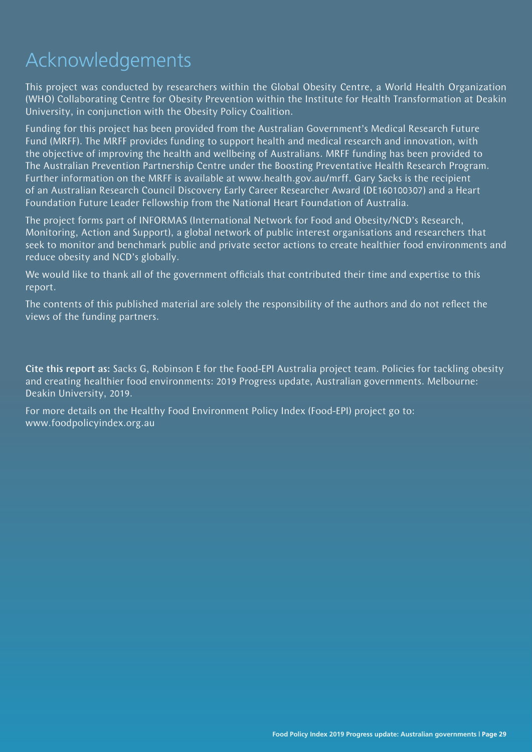# Acknowledgements

This project was conducted by researchers within the Global Obesity Centre, a World Health Organization (WHO) Collaborating Centre for Obesity Prevention within the Institute for Health Transformation at Deakin University, in conjunction with the Obesity Policy Coalition.

Funding for this project has been provided from the Australian Government's Medical Research Future Fund (MRFF). The MRFF provides funding to support health and medical research and innovation, with the objective of improving the health and wellbeing of Australians. MRFF funding has been provided to The Australian Prevention Partnership Centre under the Boosting Preventative Health Research Program. Further information on the MRFF is available at www.health.gov.au/mrff. Gary Sacks is the recipient of an Australian Research Council Discovery Early Career Researcher Award (DE160100307) and a Heart Foundation Future Leader Fellowship from the National Heart Foundation of Australia.

The project forms part of INFORMAS (International Network for Food and Obesity/NCD's Research, Monitoring, Action and Support), a global network of public interest organisations and researchers that seek to monitor and benchmark public and private sector actions to create healthier food environments and reduce obesity and NCD's globally.

We would like to thank all of the government officials that contributed their time and expertise to this report.

The contents of this published material are solely the responsibility of the authors and do not reflect the views of the funding partners.

Cite this report as: Sacks G, Robinson E for the Food-EPI Australia project team. Policies for tackling obesity and creating healthier food environments: 2019 Progress update, Australian governments. Melbourne: Deakin University, 2019.

For more details on the Healthy Food Environment Policy Index (Food-EPI) project go to: www.foodpolicyindex.org.au